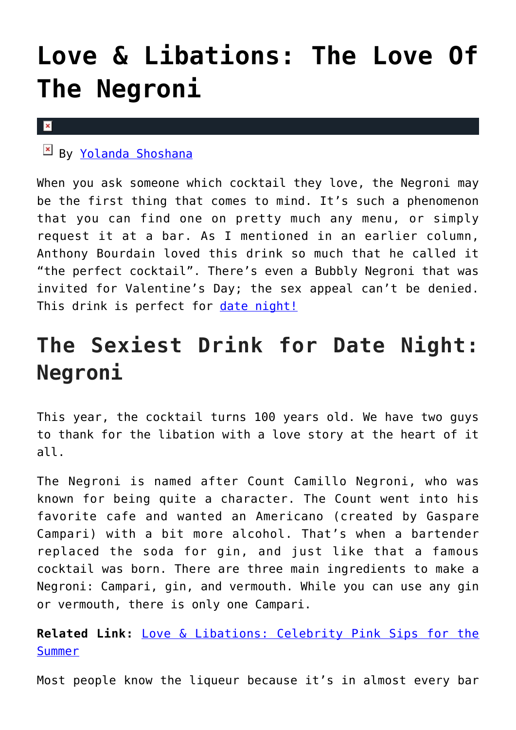## **[Love & Libations: The Love Of](https://cupidspulse.com/131175/love-libation-love-negroni/) [The Negroni](https://cupidspulse.com/131175/love-libation-love-negroni/)**

#### $\vert x \vert$

By [Yolanda Shoshana](http://cupidspulse.com/relationship-experts/yolanda-shoshana/)

When you ask someone which cocktail they love, the Negroni may be the first thing that comes to mind. It's such a phenomenon that you can find one on pretty much any menu, or simply request it at a bar. As I mentioned in an earlier column, Anthony Bourdain loved this drink so much that he called it "the perfect cocktail". There's even a Bubbly Negroni that was invited for Valentine's Day; the sex appeal can't be denied. This drink is perfect for [date night!](http://cupidspulse.com/dating/date-ideas/)

### **The Sexiest Drink for Date Night: Negroni**

This year, the cocktail turns 100 years old. We have two guys to thank for the libation with a love story at the heart of it all.

The Negroni is named after Count Camillo Negroni, who was known for being quite a character. The Count went into his favorite cafe and wanted an Americano (created by Gaspare Campari) with a bit more alcohol. That's when a bartender replaced the soda for gin, and just like that a famous cocktail was born. There are three main ingredients to make a Negroni: Campari, gin, and vermouth. While you can use any gin or vermouth, there is only one Campari.

**Related Link:** [Love & Libations: Celebrity Pink Sips for the](http://cupidspulse.com/129969/love-libations-celebrity-pink-sips-summer/) [Summer](http://cupidspulse.com/129969/love-libations-celebrity-pink-sips-summer/)

Most people know the liqueur because it's in almost every bar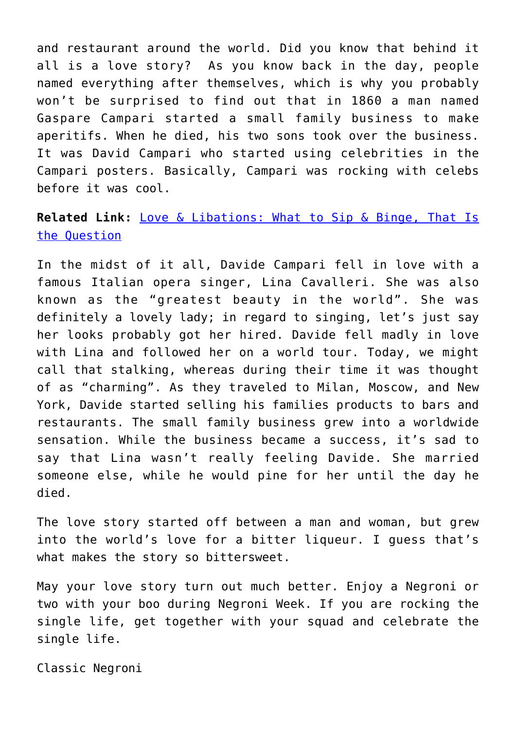and restaurant around the world. Did you know that behind it all is a love story? As you know back in the day, people named everything after themselves, which is why you probably won't be surprised to find out that in 1860 a man named Gaspare Campari started a small family business to make aperitifs. When he died, his two sons took over the business. It was David Campari who started using celebrities in the Campari posters. Basically, Campari was rocking with celebs before it was cool.

### **Related Link:** [Love & Libations: What to Sip & Binge, That Is](http://cupidspulse.com/128183/love-libations-sip-binge-question/) [the Question](http://cupidspulse.com/128183/love-libations-sip-binge-question/)

In the midst of it all, Davide Campari fell in love with a famous Italian opera singer, Lina Cavalleri. She was also known as the "greatest beauty in the world". She was definitely a lovely lady; in regard to singing, let's just say her looks probably got her hired. Davide fell madly in love with Lina and followed her on a world tour. Today, we might call that stalking, whereas during their time it was thought of as "charming". As they traveled to Milan, Moscow, and New York, Davide started selling his families products to bars and restaurants. The small family business grew into a worldwide sensation. While the business became a success, it's sad to say that Lina wasn't really feeling Davide. She married someone else, while he would pine for her until the day he died.

The love story started off between a man and woman, but grew into the world's love for a bitter liqueur. I guess that's what makes the story so bittersweet.

May your love story turn out much better. Enjoy a Negroni or two with your boo during Negroni Week. If you are rocking the single life, get together with your squad and celebrate the single life.

Classic Negroni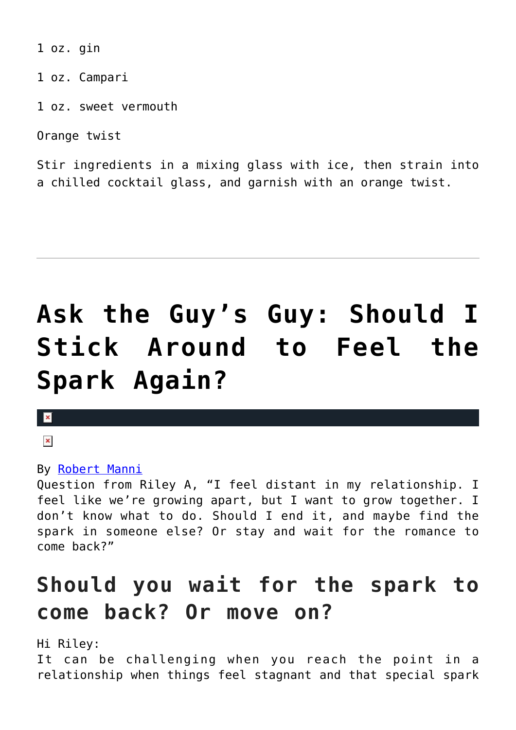1 oz. gin

1 oz. Campari

1 oz. sweet vermouth

Orange twist

Stir ingredients in a mixing glass with ice, then strain into a chilled cocktail glass, and garnish with an orange twist.

# **[Ask the Guy's Guy: Should I](https://cupidspulse.com/130937/ask-the-guys-guy-should-stick-around-feel-spark-again/) [Stick Around to Feel the](https://cupidspulse.com/130937/ask-the-guys-guy-should-stick-around-feel-spark-again/) [Spark Again?](https://cupidspulse.com/130937/ask-the-guys-guy-should-stick-around-feel-spark-again/)**

 $\pmb{\times}$ 

 $\pmb{\times}$ 

#### By [Robert Manni](http://cupidspulse.com/relationship-experts/robertmanni/)

Question from Riley A, "I feel distant in my relationship. I feel like we're growing apart, but I want to grow together. I don't know what to do. Should I end it, and maybe find the spark in someone else? Or stay and wait for the romance to come back?"

### **Should you wait for the spark to come back? Or move on?**

Hi Riley:

It can be challenging when you reach the point in a relationship when things feel stagnant and that special spark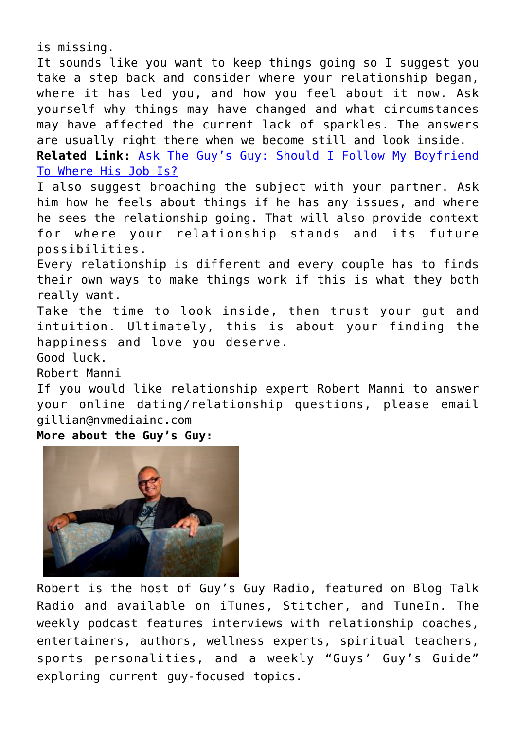is missing.

It sounds like you want to keep things going so I suggest you take a step back and consider where your relationship began, where it has led you, and how you feel about it now. Ask yourself why things may have changed and what circumstances may have affected the current lack of sparkles. The answers are usually right there when we become still and look inside. **Related Link:** [Ask The Guy's Guy: Should I Follow My Boyfriend](http://cupidspulse.com/129797/ask-guys-guy-should-follow-boyfriend-where-job/)

[To Where His Job Is?](http://cupidspulse.com/129797/ask-guys-guy-should-follow-boyfriend-where-job/)

I also suggest broaching the subject with your partner. Ask him how he feels about things if he has any issues, and where he sees the relationship going. That will also provide context for where your relationship stands and its future possibilities.

Every relationship is different and every couple has to finds their own ways to make things work if this is what they both really want.

Take the time to look inside, then trust your gut and intuition. Ultimately, this is about your finding the happiness and love you deserve.

Good luck.

Robert Manni

If you would like relationship expert Robert Manni to answer your online dating/relationship questions, please email gillian@nvmediainc.com

**More about the Guy's Guy:** 



Robert is the host of Guy's Guy Radio, featured on Blog Talk Radio and available on iTunes, Stitcher, and TuneIn. The weekly podcast features interviews with relationship coaches, entertainers, authors, wellness experts, spiritual teachers, sports personalities, and a weekly "Guys' Guy's Guide" exploring current guy-focused topics.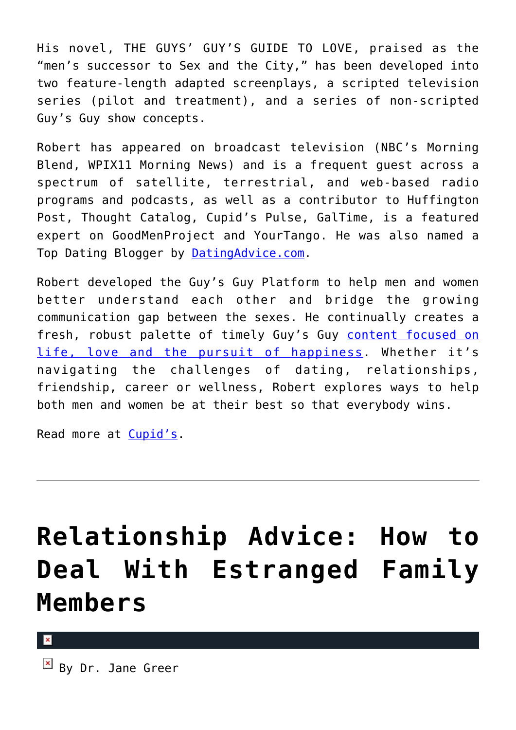His novel, THE GUYS' GUY'S GUIDE TO LOVE, praised as the "men's successor to Sex and the City," has been developed into two feature-length adapted screenplays, a scripted television series (pilot and treatment), and a series of non-scripted Guy's Guy show concepts.

Robert has appeared on broadcast television (NBC's Morning Blend, WPIX11 Morning News) and is a frequent guest across a spectrum of satellite, terrestrial, and web-based radio programs and podcasts, as well as a contributor to Huffington Post, Thought Catalog, Cupid's Pulse, GalTime, is a featured expert on GoodMenProject and YourTango. He was also named a Top Dating Blogger by [DatingAdvice.com](http://datingadvice.com/).

Robert developed the Guy's Guy Platform to help men and women better understand each other and bridge the growing communication gap between the sexes. He continually creates a fresh, robust palette of timely Guy's Guy [content focused on](http://robertmanni.com/) [life, love and the pursuit of happiness](http://robertmanni.com/). Whether it's navigating the challenges of dating, relationships, friendship, career or wellness, Robert explores ways to help both men and women be at their best so that everybody wins.

Read more at [Cupid's](http://cupidspulse.com).

## **[Relationship Advice: How to](https://cupidspulse.com/130352/relationship-advice-estranged-family-members/) [Deal With Estranged Family](https://cupidspulse.com/130352/relationship-advice-estranged-family-members/) [Members](https://cupidspulse.com/130352/relationship-advice-estranged-family-members/)**

 $\overline{B}$  By Dr. Jane Greer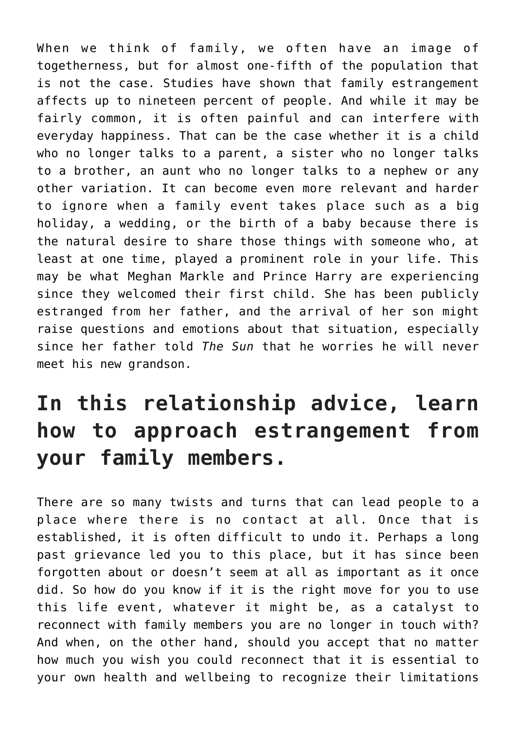When we think of family, we often have an image of togetherness, but for almost one-fifth of the population that is not the case. Studies have shown that family estrangement affects up to nineteen percent of people. And while it may be fairly common, it is often painful and can interfere with everyday happiness. That can be the case whether it is a child who no longer talks to a parent, a sister who no longer talks to a brother, an aunt who no longer talks to a nephew or any other variation. It can become even more relevant and harder to ignore when a family event takes place such as a big holiday, a wedding, or the birth of a baby because there is the natural desire to share those things with someone who, at least at one time, played a prominent role in your life. This may be what Meghan Markle and Prince Harry are experiencing since they welcomed their first child. She has been publicly estranged from her father, and the arrival of her son might raise questions and emotions about that situation, especially since her father told *The Sun* that he worries he will never meet his new grandson.

### **In this relationship advice, learn how to approach estrangement from your family members.**

There are so many twists and turns that can lead people to a place where there is no contact at all. Once that is established, it is often difficult to undo it. Perhaps a long past grievance led you to this place, but it has since been forgotten about or doesn't seem at all as important as it once did. So how do you know if it is the right move for you to use this life event, whatever it might be, as a catalyst to reconnect with family members you are no longer in touch with? And when, on the other hand, should you accept that no matter how much you wish you could reconnect that it is essential to your own health and wellbeing to recognize their limitations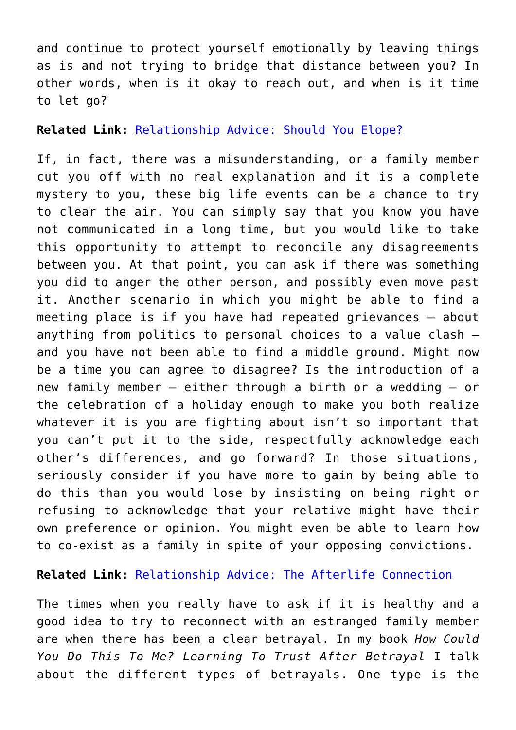and continue to protect yourself emotionally by leaving things as is and not trying to bridge that distance between you? In other words, when is it okay to reach out, and when is it time to let go?

**Related Link:** [Relationship Advice: Should You Elope?](http://cupidspulse.com/128495/relationship-advice-elope/)

If, in fact, there was a misunderstanding, or a family member cut you off with no real explanation and it is a complete mystery to you, these big life events can be a chance to try to clear the air. You can simply say that you know you have not communicated in a long time, but you would like to take this opportunity to attempt to reconcile any disagreements between you. At that point, you can ask if there was something you did to anger the other person, and possibly even move past it. Another scenario in which you might be able to find a meeting place is if you have had repeated grievances – about anything from politics to personal choices to a value clash – and you have not been able to find a middle ground. Might now be a time you can agree to disagree? Is the introduction of a new family member – either through a birth or a wedding – or the celebration of a holiday enough to make you both realize whatever it is you are fighting about isn't so important that you can't put it to the side, respectfully acknowledge each other's differences, and go forward? In those situations, seriously consider if you have more to gain by being able to do this than you would lose by insisting on being right or refusing to acknowledge that your relative might have their own preference or opinion. You might even be able to learn how to co-exist as a family in spite of your opposing convictions.

**Related Link:** [Relationship Advice: The Afterlife Connection](http://cupidspulse.com/127045/relationship-advice-afterlife-connection-dr-jane-greer/)

The times when you really have to ask if it is healthy and a good idea to try to reconnect with an estranged family member are when there has been a clear betrayal. In my book *How Could You Do This To Me? Learning To Trust After Betrayal* I talk about the different types of betrayals. One type is the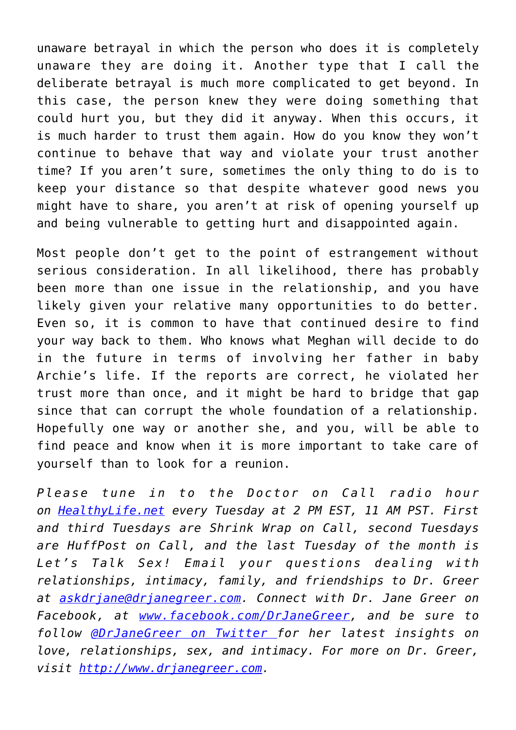unaware betrayal in which the person who does it is completely unaware they are doing it. Another type that I call the deliberate betrayal is much more complicated to get beyond. In this case, the person knew they were doing something that could hurt you, but they did it anyway. When this occurs, it is much harder to trust them again. How do you know they won't continue to behave that way and violate your trust another time? If you aren't sure, sometimes the only thing to do is to keep your distance so that despite whatever good news you might have to share, you aren't at risk of opening yourself up and being vulnerable to getting hurt and disappointed again.

Most people don't get to the point of estrangement without serious consideration. In all likelihood, there has probably been more than one issue in the relationship, and you have likely given your relative many opportunities to do better. Even so, it is common to have that continued desire to find your way back to them. Who knows what Meghan will decide to do in the future in terms of involving her father in baby Archie's life. If the reports are correct, he violated her trust more than once, and it might be hard to bridge that gap since that can corrupt the whole foundation of a relationship. Hopefully one way or another she, and you, will be able to find peace and know when it is more important to take care of yourself than to look for a reunion.

*Please tune in to the Doctor on Call radio hour on [HealthyLife.net](http://www.healthylife.net/) every Tuesday at 2 PM EST, 11 AM PST. First and third Tuesdays are Shrink Wrap on Call, second Tuesdays are HuffPost on Call, and the last Tuesday of the month is Let's Talk Sex! Email your questions dealing with relationships, intimacy, family, and friendships to Dr. Greer at [askdrjane@drjanegreer.com](mailto:askdrjane@drjanegreer.com). Connect with Dr. Jane Greer on Facebook, at [www.facebook.com/DrJaneGreer,](http://www.facebook.com/DrJaneGreer) and be sure to follow [@DrJaneGreer on Twitter f](https://twitter.com/#!/DrJaneGreer)or her latest insights on love, relationships, sex, and intimacy. For more on Dr. Greer, visit [http://www.drjanegreer.com.](http://www.drjanegreer.com/)*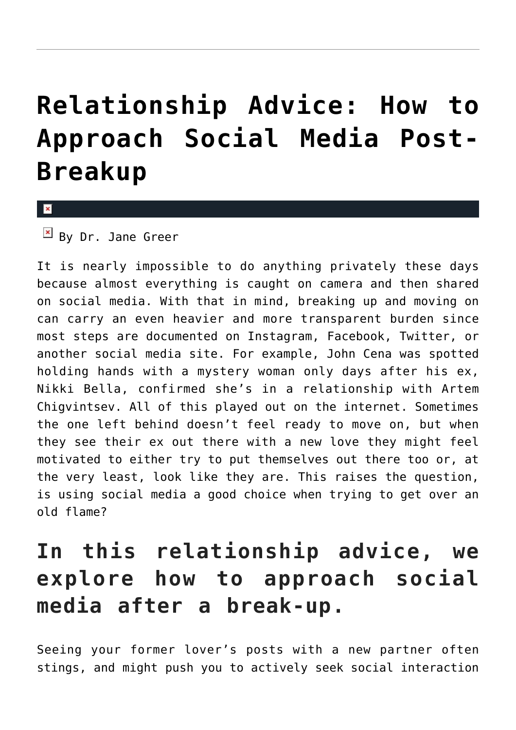## **[Relationship Advice: How to](https://cupidspulse.com/130349/relationship-advice-social-media-after-break-up/) [Approach Social Media Post-](https://cupidspulse.com/130349/relationship-advice-social-media-after-break-up/)[Breakup](https://cupidspulse.com/130349/relationship-advice-social-media-after-break-up/)**

x

 $\overline{B}$  By Dr. Jane Greer

It is nearly impossible to do anything privately these days because almost everything is caught on camera and then shared on social media. With that in mind, breaking up and moving on can carry an even heavier and more transparent burden since most steps are documented on Instagram, Facebook, Twitter, or another social media site. For example, John Cena was spotted holding hands with a mystery woman only days after his ex, Nikki Bella, confirmed she's in a relationship with Artem Chigvintsev. All of this played out on the internet. Sometimes the one left behind doesn't feel ready to move on, but when they see their ex out there with a new love they might feel motivated to either try to put themselves out there too or, at the very least, look like they are. This raises the question, is using social media a good choice when trying to get over an old flame?

### **In this relationship advice, we explore how to approach social media after a break-up.**

Seeing your former lover's posts with a new partner often stings, and might push you to actively seek social interaction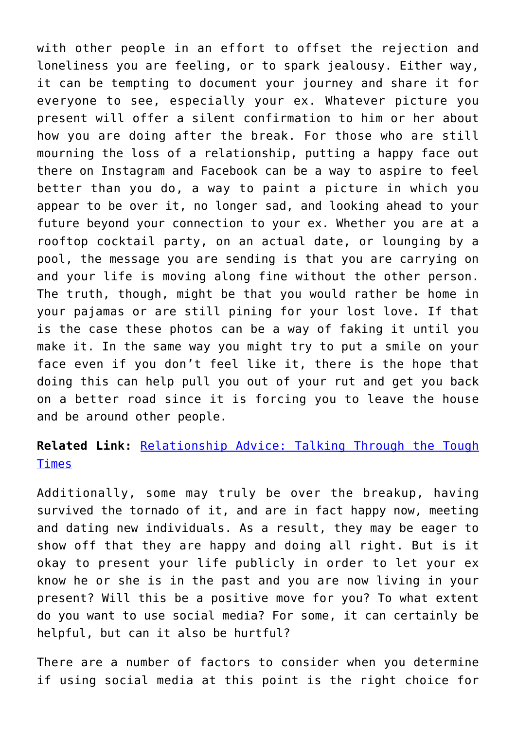with other people in an effort to offset the rejection and loneliness you are feeling, or to spark jealousy. Either way, it can be tempting to document your journey and share it for everyone to see, especially your ex. Whatever picture you present will offer a silent confirmation to him or her about how you are doing after the break. For those who are still mourning the loss of a relationship, putting a happy face out there on Instagram and Facebook can be a way to aspire to feel better than you do, a way to paint a picture in which you appear to be over it, no longer sad, and looking ahead to your future beyond your connection to your ex. Whether you are at a rooftop cocktail party, on an actual date, or lounging by a pool, the message you are sending is that you are carrying on and your life is moving along fine without the other person. The truth, though, might be that you would rather be home in your pajamas or are still pining for your lost love. If that is the case these photos can be a way of faking it until you make it. In the same way you might try to put a smile on your face even if you don't feel like it, there is the hope that doing this can help pull you out of your rut and get you back on a better road since it is forcing you to leave the house and be around other people.

### **Related Link:** [Relationship Advice: Talking Through the Tough](http://cupidspulse.com/130306/relationship-advice-talking-through-tough-times/) [Times](http://cupidspulse.com/130306/relationship-advice-talking-through-tough-times/)

Additionally, some may truly be over the breakup, having survived the tornado of it, and are in fact happy now, meeting and dating new individuals. As a result, they may be eager to show off that they are happy and doing all right. But is it okay to present your life publicly in order to let your ex know he or she is in the past and you are now living in your present? Will this be a positive move for you? To what extent do you want to use social media? For some, it can certainly be helpful, but can it also be hurtful?

There are a number of factors to consider when you determine if using social media at this point is the right choice for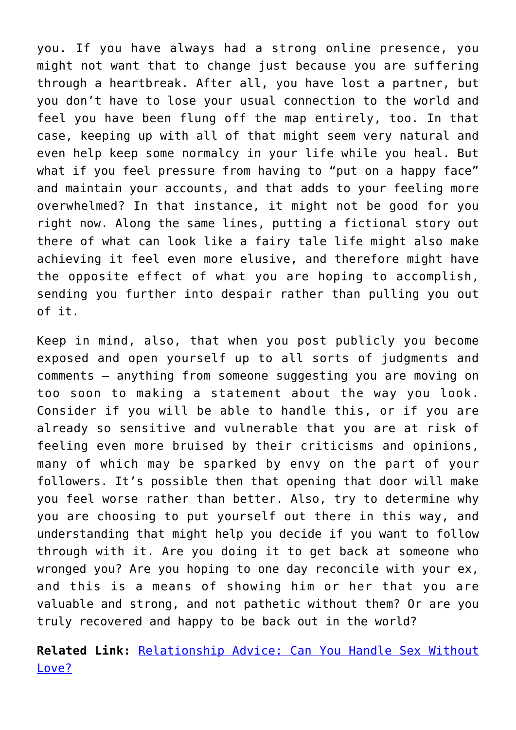you. If you have always had a strong online presence, you might not want that to change just because you are suffering through a heartbreak. After all, you have lost a partner, but you don't have to lose your usual connection to the world and feel you have been flung off the map entirely, too. In that case, keeping up with all of that might seem very natural and even help keep some normalcy in your life while you heal. But what if you feel pressure from having to "put on a happy face" and maintain your accounts, and that adds to your feeling more overwhelmed? In that instance, it might not be good for you right now. Along the same lines, putting a fictional story out there of what can look like a fairy tale life might also make achieving it feel even more elusive, and therefore might have the opposite effect of what you are hoping to accomplish, sending you further into despair rather than pulling you out of it.

Keep in mind, also, that when you post publicly you become exposed and open yourself up to all sorts of judgments and comments – anything from someone suggesting you are moving on too soon to making a statement about the way you look. Consider if you will be able to handle this, or if you are already so sensitive and vulnerable that you are at risk of feeling even more bruised by their criticisms and opinions, many of which may be sparked by envy on the part of your followers. It's possible then that opening that door will make you feel worse rather than better. Also, try to determine why you are choosing to put yourself out there in this way, and understanding that might help you decide if you want to follow through with it. Are you doing it to get back at someone who wronged you? Are you hoping to one day reconcile with your ex, and this is a means of showing him or her that you are valuable and strong, and not pathetic without them? Or are you truly recovered and happy to be back out in the world?

**Related Link:** [Relationship Advice: Can You Handle Sex Without](http://cupidspulse.com/129417/relationship-advice-dr-jane-greer-handle-sex-without-love/) [Love?](http://cupidspulse.com/129417/relationship-advice-dr-jane-greer-handle-sex-without-love/)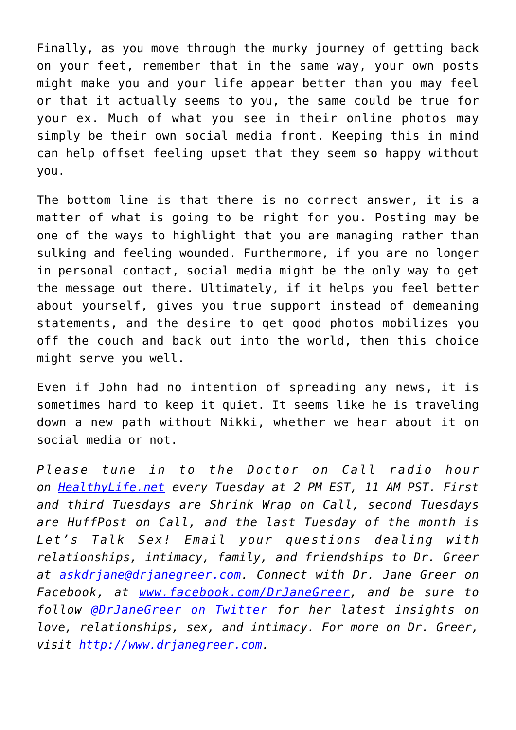Finally, as you move through the murky journey of getting back on your feet, remember that in the same way, your own posts might make you and your life appear better than you may feel or that it actually seems to you, the same could be true for your ex. Much of what you see in their online photos may simply be their own social media front. Keeping this in mind can help offset feeling upset that they seem so happy without you.

The bottom line is that there is no correct answer, it is a matter of what is going to be right for you. Posting may be one of the ways to highlight that you are managing rather than sulking and feeling wounded. Furthermore, if you are no longer in personal contact, social media might be the only way to get the message out there. Ultimately, if it helps you feel better about yourself, gives you true support instead of demeaning statements, and the desire to get good photos mobilizes you off the couch and back out into the world, then this choice might serve you well.

Even if John had no intention of spreading any news, it is sometimes hard to keep it quiet. It seems like he is traveling down a new path without Nikki, whether we hear about it on social media or not.

*Please tune in to the Doctor on Call radio hour on [HealthyLife.net](http://www.healthylife.net/) every Tuesday at 2 PM EST, 11 AM PST. First and third Tuesdays are Shrink Wrap on Call, second Tuesdays are HuffPost on Call, and the last Tuesday of the month is Let's Talk Sex! Email your questions dealing with relationships, intimacy, family, and friendships to Dr. Greer at [askdrjane@drjanegreer.com](mailto:askdrjane@drjanegreer.com). Connect with Dr. Jane Greer on Facebook, at [www.facebook.com/DrJaneGreer,](http://www.facebook.com/DrJaneGreer) and be sure to follow [@DrJaneGreer on Twitter f](https://twitter.com/#!/DrJaneGreer)or her latest insights on love, relationships, sex, and intimacy. For more on Dr. Greer, visit [http://www.drjanegreer.com.](http://www.drjanegreer.com/)*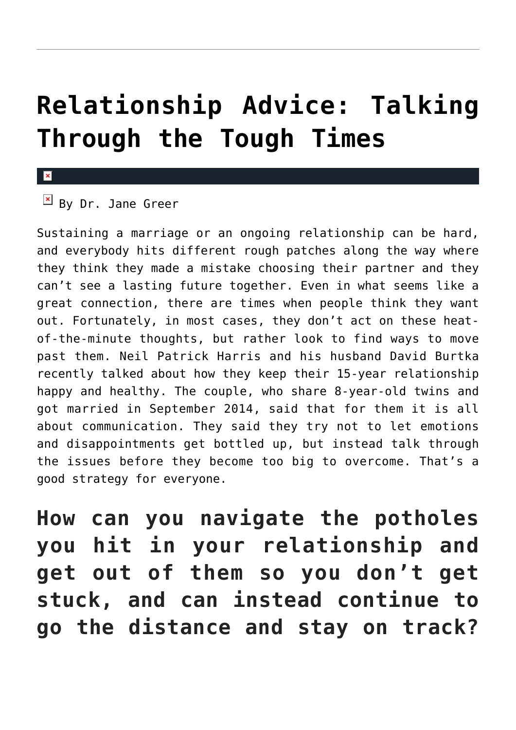## **[Relationship Advice: Talking](https://cupidspulse.com/130306/relationship-advice-talking-through-tough-times/) [Through the Tough Times](https://cupidspulse.com/130306/relationship-advice-talking-through-tough-times/)**

 $B$ y Dr. Jane Green

Sustaining a marriage or an ongoing relationship can be hard, and everybody hits different rough patches along the way where they think they made a mistake choosing their partner and they can't see a lasting future together. Even in what seems like a great connection, there are times when people think they want out. Fortunately, in most cases, they don't act on these heatof-the-minute thoughts, but rather look to find ways to move past them. Neil Patrick Harris and his husband David Burtka recently talked about how they keep their 15-year relationship happy and healthy. The couple, who share 8-year-old twins and got married in September 2014, said that for them it is all about communication. They said they try not to let emotions and disappointments get bottled up, but instead talk through the issues before they become too big to overcome. That's a good strategy for everyone.

**How can you navigate the potholes you hit in your relationship and get out of them so you don't get stuck, and can instead continue to go the distance and stay on track?**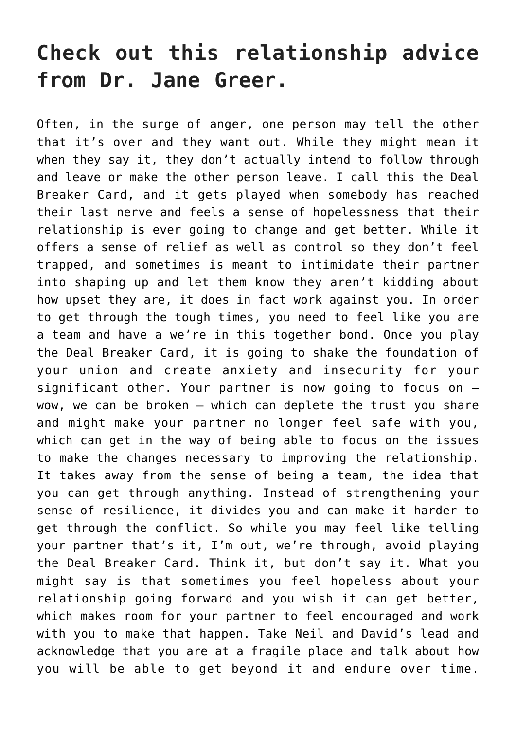### **Check out this relationship advice from Dr. Jane Greer.**

Often, in the surge of anger, one person may tell the other that it's over and they want out. While they might mean it when they say it, they don't actually intend to follow through and leave or make the other person leave. I call this the Deal Breaker Card, and it gets played when somebody has reached their last nerve and feels a sense of hopelessness that their relationship is ever going to change and get better. While it offers a sense of relief as well as control so they don't feel trapped, and sometimes is meant to intimidate their partner into shaping up and let them know they aren't kidding about how upset they are, it does in fact work against you. In order to get through the tough times, you need to feel like you are a team and have a we're in this together bond. Once you play the Deal Breaker Card, it is going to shake the foundation of your union and create anxiety and insecurity for your significant other. Your partner is now going to focus on – wow, we can be broken – which can deplete the trust you share and might make your partner no longer feel safe with you, which can get in the way of being able to focus on the issues to make the changes necessary to improving the relationship. It takes away from the sense of being a team, the idea that you can get through anything. Instead of strengthening your sense of resilience, it divides you and can make it harder to get through the conflict. So while you may feel like telling your partner that's it, I'm out, we're through, avoid playing the Deal Breaker Card. Think it, but don't say it. What you might say is that sometimes you feel hopeless about your relationship going forward and you wish it can get better, which makes room for your partner to feel encouraged and work with you to make that happen. Take Neil and David's lead and acknowledge that you are at a fragile place and talk about how you will be able to get beyond it and endure over time.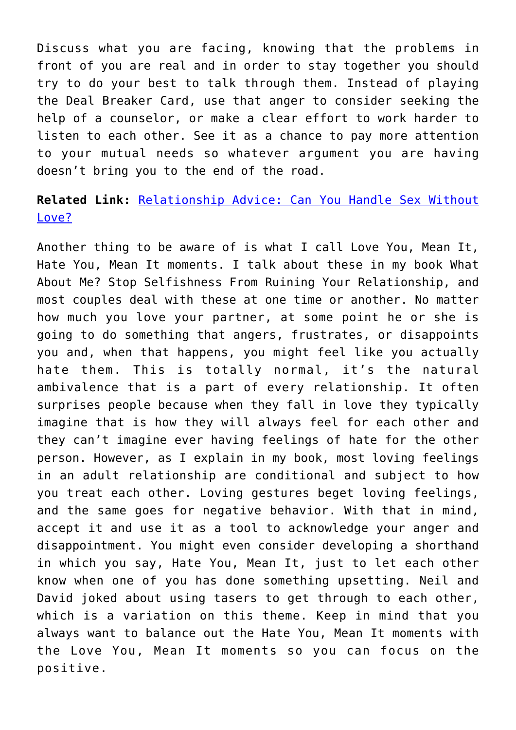Discuss what you are facing, knowing that the problems in front of you are real and in order to stay together you should try to do your best to talk through them. Instead of playing the Deal Breaker Card, use that anger to consider seeking the help of a counselor, or make a clear effort to work harder to listen to each other. See it as a chance to pay more attention to your mutual needs so whatever argument you are having doesn't bring you to the end of the road.

### **Related Link:** [Relationship Advice: Can You Handle Sex Without](http://cupidspulse.com/129417/relationship-advice-dr-jane-greer-handle-sex-without-love/) [Love?](http://cupidspulse.com/129417/relationship-advice-dr-jane-greer-handle-sex-without-love/)

Another thing to be aware of is what I call Love You, Mean It, Hate You, Mean It moments. I talk about these in my book What About Me? Stop Selfishness From Ruining Your Relationship, and most couples deal with these at one time or another. No matter how much you love your partner, at some point he or she is going to do something that angers, frustrates, or disappoints you and, when that happens, you might feel like you actually hate them. This is totally normal, it's the natural ambivalence that is a part of every relationship. It often surprises people because when they fall in love they typically imagine that is how they will always feel for each other and they can't imagine ever having feelings of hate for the other person. However, as I explain in my book, most loving feelings in an adult relationship are conditional and subject to how you treat each other. Loving gestures beget loving feelings, and the same goes for negative behavior. With that in mind, accept it and use it as a tool to acknowledge your anger and disappointment. You might even consider developing a shorthand in which you say, Hate You, Mean It, just to let each other know when one of you has done something upsetting. Neil and David joked about using tasers to get through to each other, which is a variation on this theme. Keep in mind that you always want to balance out the Hate You, Mean It moments with the Love You, Mean It moments so you can focus on the positive.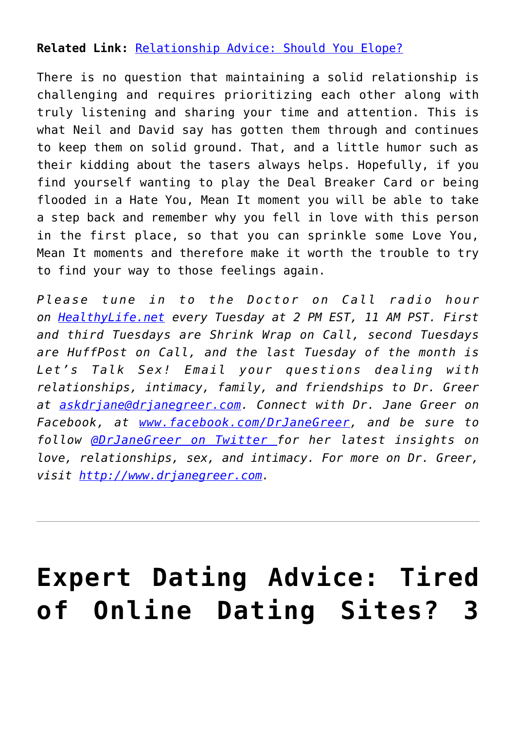### **Related Link:** [Relationship Advice: Should You Elope?](http://cupidspulse.com/128495/relationship-advice-elope/)

There is no question that maintaining a solid relationship is challenging and requires prioritizing each other along with truly listening and sharing your time and attention. This is what Neil and David say has gotten them through and continues to keep them on solid ground. That, and a little humor such as their kidding about the tasers always helps. Hopefully, if you find yourself wanting to play the Deal Breaker Card or being flooded in a Hate You, Mean It moment you will be able to take a step back and remember why you fell in love with this person in the first place, so that you can sprinkle some Love You, Mean It moments and therefore make it worth the trouble to try to find your way to those feelings again.

*Please tune in to the Doctor on Call radio hour on [HealthyLife.net](http://www.healthylife.net/) every Tuesday at 2 PM EST, 11 AM PST. First and third Tuesdays are Shrink Wrap on Call, second Tuesdays are HuffPost on Call, and the last Tuesday of the month is Let's Talk Sex! Email your questions dealing with relationships, intimacy, family, and friendships to Dr. Greer at [askdrjane@drjanegreer.com](mailto:askdrjane@drjanegreer.com). Connect with Dr. Jane Greer on Facebook, at [www.facebook.com/DrJaneGreer,](http://www.facebook.com/DrJaneGreer) and be sure to follow [@DrJaneGreer on Twitter f](https://twitter.com/#!/DrJaneGreer)or her latest insights on love, relationships, sex, and intimacy. For more on Dr. Greer, visit [http://www.drjanegreer.com.](http://www.drjanegreer.com/)*

## **[Expert Dating Advice: Tired](https://cupidspulse.com/130121/expert-dating-advice-tired-of-online-dating-sites-3-ways-to-get-off-as-quick-as-possible/) [of Online Dating Sites? 3](https://cupidspulse.com/130121/expert-dating-advice-tired-of-online-dating-sites-3-ways-to-get-off-as-quick-as-possible/)**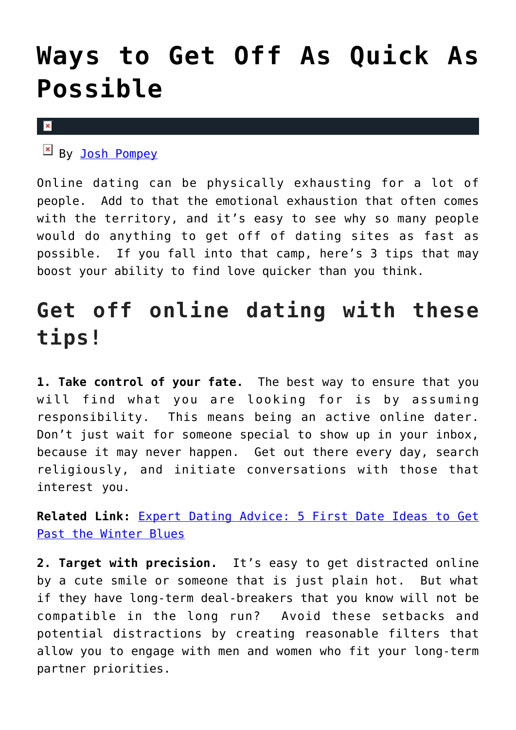### **[Ways to Get Off As Quick As](https://cupidspulse.com/130121/expert-dating-advice-tired-of-online-dating-sites-3-ways-to-get-off-as-quick-as-possible/) [Possible](https://cupidspulse.com/130121/expert-dating-advice-tired-of-online-dating-sites-3-ways-to-get-off-as-quick-as-possible/)**

 $\mathbf x$ 

By [Josh Pompey](http://cupidspulse.com/relationship-experts/joshua-pompey/)

Online dating can be physically exhausting for a lot of people. Add to that the emotional exhaustion that often comes with the territory, and it's easy to see why so many people would do anything to get off of dating sites as fast as possible. If you fall into that camp, here's 3 tips that may boost your ability to find love quicker than you think.

### **Get off online dating with these tips!**

**1. Take control of your fate.** The best way to ensure that you will find what you are looking for is by assuming responsibility. This means being an active online dater. Don't just wait for someone special to show up in your inbox, because it may never happen. Get out there every day, search religiously, and initiate conversations with those that interest you.

**Related Link:** [Expert Dating Advice: 5 First Date Ideas to Get](http://cupidspulse.com/128852/expert-dating-advice-5-first-date-ideas-to-get-past-the-winter-blues/) [Past the Winter Blues](http://cupidspulse.com/128852/expert-dating-advice-5-first-date-ideas-to-get-past-the-winter-blues/)

**2. Target with precision.** It's easy to get distracted online by a cute smile or someone that is just plain hot. But what if they have long-term deal-breakers that you know will not be compatible in the long run? Avoid these setbacks and potential distractions by creating reasonable filters that allow you to engage with men and women who fit your long-term partner priorities.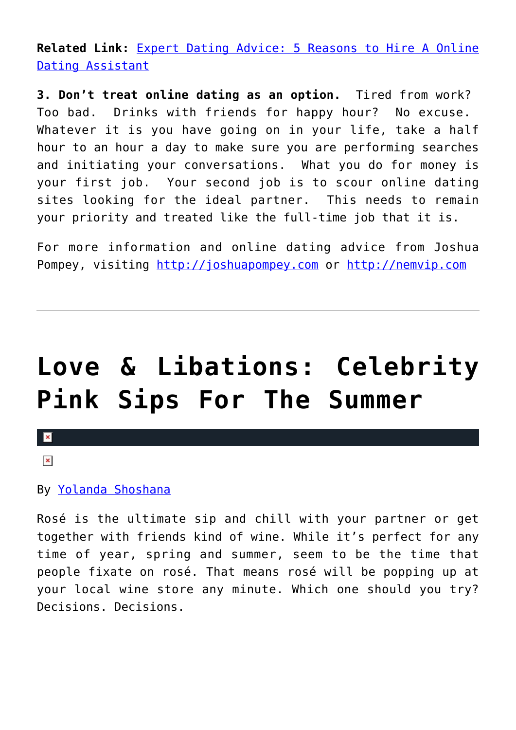**Related Link:** [Expert Dating Advice: 5 Reasons to Hire A Online](http://cupidspulse.com/126632/expert-dating-advice-5-reasons-to-hire-a-online-dating-assistant/) [Dating Assistant](http://cupidspulse.com/126632/expert-dating-advice-5-reasons-to-hire-a-online-dating-assistant/)

**3. Don't treat online dating as an option.** Tired from work? Too bad. Drinks with friends for happy hour? No excuse. Whatever it is you have going on in your life, take a half hour to an hour a day to make sure you are performing searches and initiating your conversations. What you do for money is your first job. Your second job is to scour online dating sites looking for the ideal partner. This needs to remain your priority and treated like the full-time job that it is.

For more information and online dating advice from Joshua Pompey, visiting [http://joshuapompey.com](http://joshuapompey.com/) or [http://nemvip.com](http://nemvip.com/)

# **[Love & Libations: Celebrity](https://cupidspulse.com/129969/love-libations-celebrity-pink-sips-summer/) [Pink Sips For The Summer](https://cupidspulse.com/129969/love-libations-celebrity-pink-sips-summer/)**

### $\mathbf x$

### $\pmb{\times}$

### By [Yolanda Shoshana](http://cupidspulse.com/relationship-experts/yolanda-shoshana/)

Rosé is the ultimate sip and chill with your partner or get together with friends kind of wine. While it's perfect for any time of year, spring and summer, seem to be the time that people fixate on rosé. That means rosé will be popping up at your local wine store any minute. Which one should you try? Decisions. Decisions.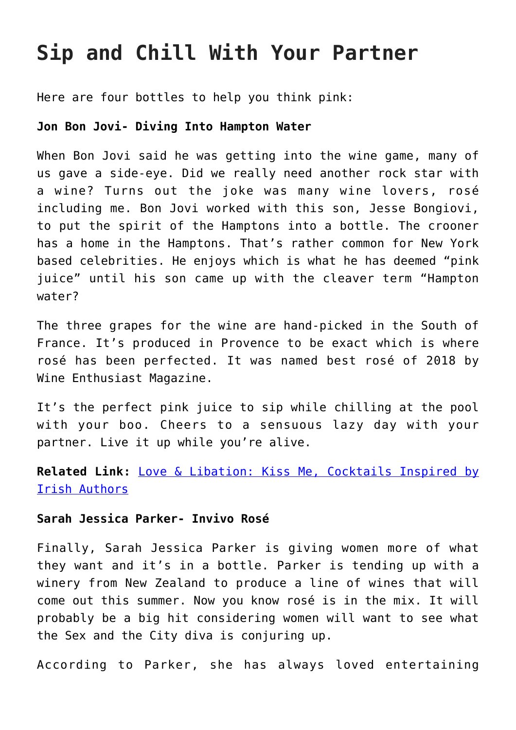### **Sip and Chill With Your Partner**

Here are four bottles to help you think pink:

### **Jon Bon Jovi- Diving Into Hampton Water**

When Bon Jovi said he was getting into the wine game, many of us gave a side-eye. Did we really need another rock star with a wine? Turns out the joke was many wine lovers, rosé including me. Bon Jovi worked with this son, Jesse Bongiovi, to put the spirit of the Hamptons into a bottle. The crooner has a home in the Hamptons. That's rather common for New York based celebrities. He enjoys which is what he has deemed "pink juice" until his son came up with the cleaver term "Hampton water?

The three grapes for the wine are hand-picked in the South of France. It's produced in Provence to be exact which is where rosé has been perfected. It was named best rosé of 2018 by Wine Enthusiast Magazine.

It's the perfect pink juice to sip while chilling at the pool with your boo. Cheers to a sensuous lazy day with your partner. Live it up while you're alive.

**Related Link:** [Love & Libation: Kiss Me, Cocktails Inspired by](http://cupidspulse.com/129334/love-libation-kiss-cocktails-inspired-irish-authors/#ivEXagMhblPp5pTL.99) [Irish Authors](http://cupidspulse.com/129334/love-libation-kiss-cocktails-inspired-irish-authors/#ivEXagMhblPp5pTL.99)

### **Sarah Jessica Parker- Invivo Rosé**

Finally, Sarah Jessica Parker is giving women more of what they want and it's in a bottle. Parker is tending up with a winery from New Zealand to produce a line of wines that will come out this summer. Now you know rosé is in the mix. It will probably be a big hit considering women will want to see what the Sex and the City diva is conjuring up.

According to Parker, she has always loved entertaining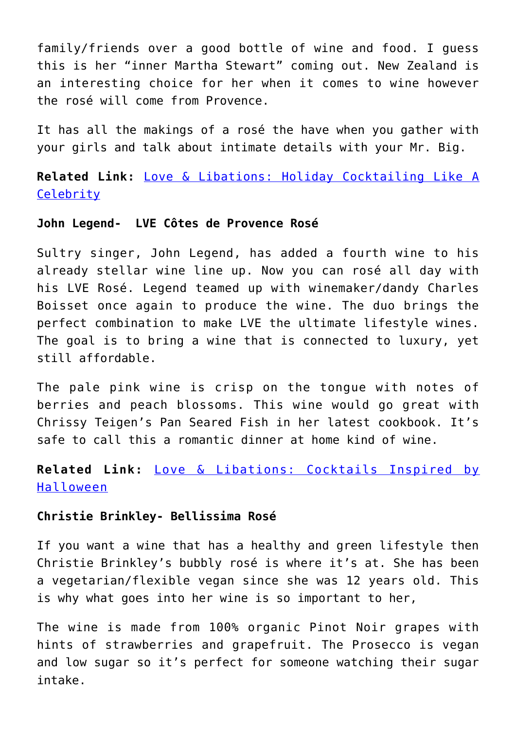family/friends over a good bottle of wine and food. I guess this is her "inner Martha Stewart" coming out. New Zealand is an interesting choice for her when it comes to wine however the rosé will come from Provence.

It has all the makings of a rosé the have when you gather with your girls and talk about intimate details with your Mr. Big.

**Related Link:** [Love & Libations: Holiday Cocktailing Like A](http://cupidspulse.com/127936/love-libations-holiday-cocktailing-like-a-celebrity/#YxxT5WCmTAC7lKUt.99) **[Celebrity](http://cupidspulse.com/127936/love-libations-holiday-cocktailing-like-a-celebrity/#YxxT5WCmTAC7lKUt.99)** 

#### **John Legend- LVE Côtes de Provence Rosé**

Sultry singer, John Legend, has added a fourth wine to his already stellar wine line up. Now you can rosé all day with his LVE Rosé. Legend teamed up with winemaker/dandy Charles Boisset once again to produce the wine. The duo brings the perfect combination to make LVE the ultimate lifestyle wines. The goal is to bring a wine that is connected to luxury, yet still affordable.

The pale pink wine is crisp on the tongue with notes of berries and peach blossoms. This wine would go great with Chrissy Teigen's Pan Seared Fish in her latest cookbook. It's safe to call this a romantic dinner at home kind of wine.

### **Related Link:** [Love & Libations: Cocktails Inspired by](http://cupidspulse.com/127092/love-libations-cocktails-inspired-halloween/#1lbR2hj7GfrCmQMl.99) [Halloween](http://cupidspulse.com/127092/love-libations-cocktails-inspired-halloween/#1lbR2hj7GfrCmQMl.99)

### **Christie Brinkley- Bellissima Rosé**

If you want a wine that has a healthy and green lifestyle then Christie Brinkley's bubbly rosé is where it's at. She has been a vegetarian/flexible vegan since she was 12 years old. This is why what goes into her wine is so important to her,

The wine is made from 100% organic Pinot Noir grapes with hints of strawberries and grapefruit. The Prosecco is vegan and low sugar so it's perfect for someone watching their sugar intake.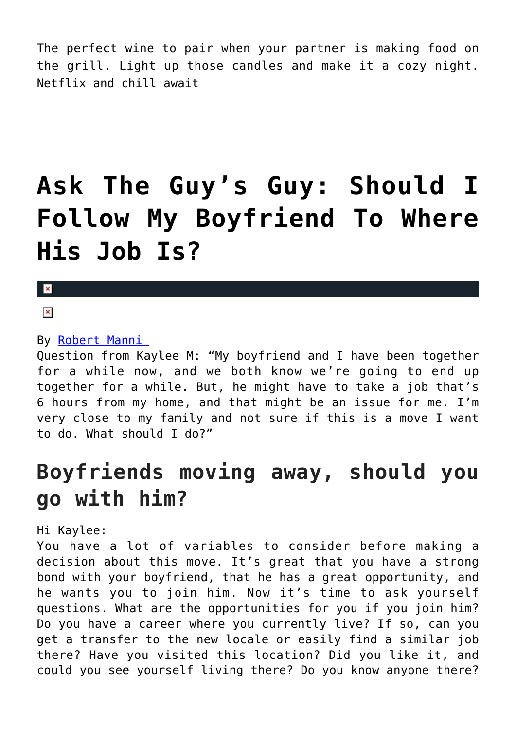The perfect wine to pair when your partner is making food on the grill. Light up those candles and make it a cozy night. Netflix and chill await

## **[Ask The Guy's Guy: Should I](https://cupidspulse.com/129797/ask-guys-guy-should-follow-boyfriend-where-job/) [Follow My Boyfriend To Where](https://cupidspulse.com/129797/ask-guys-guy-should-follow-boyfriend-where-job/) [His Job Is?](https://cupidspulse.com/129797/ask-guys-guy-should-follow-boyfriend-where-job/)**

### $\mathbf{R}$

 $\pmb{\times}$ 

### By [Robert Manni](http://cupidspulse.com/relationship-experts/robertmanni/)

Question from Kaylee M: "My boyfriend and I have been together for a while now, and we both know we're going to end up together for a while. But, he might have to take a job that's 6 hours from my home, and that might be an issue for me. I'm very close to my family and not sure if this is a move I want to do. What should I do?"

### **Boyfriends moving away, should you go with him?**

Hi Kaylee:

You have a lot of variables to consider before making a decision about this move. It's great that you have a strong bond with your boyfriend, that he has a great opportunity, and he wants you to join him. Now it's time to ask yourself questions. What are the opportunities for you if you join him? Do you have a career where you currently live? If so, can you get a transfer to the new locale or easily find a similar job there? Have you visited this location? Did you like it, and could you see yourself living there? Do you know anyone there?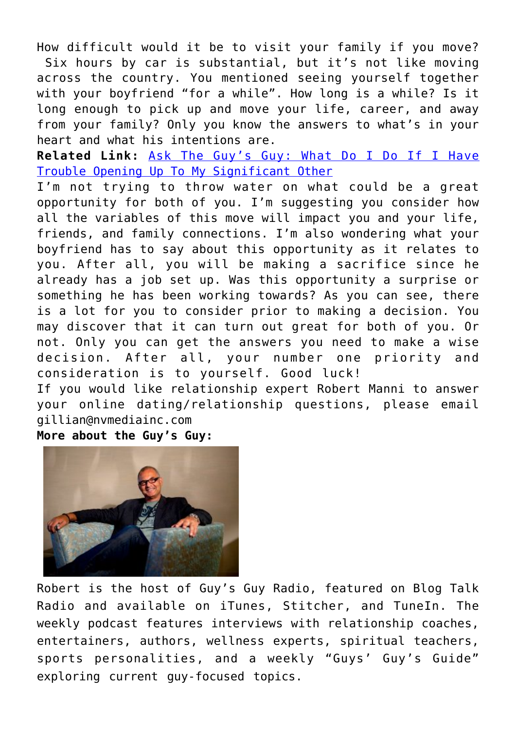How difficult would it be to visit your family if you move? Six hours by car is substantial, but it's not like moving across the country. You mentioned seeing yourself together with your boyfriend "for a while". How long is a while? Is it long enough to pick up and move your life, career, and away from your family? Only you know the answers to what's in your heart and what his intentions are.

**Related Link:** [Ask The Guy's Guy: What Do I Do If I Have](http://cupidspulse.com/128473/ask-guys-guy-trouble-opening-significant-other/) [Trouble Opening Up To My Significant Other](http://cupidspulse.com/128473/ask-guys-guy-trouble-opening-significant-other/)

I'm not trying to throw water on what could be a great opportunity for both of you. I'm suggesting you consider how all the variables of this move will impact you and your life, friends, and family connections. I'm also wondering what your boyfriend has to say about this opportunity as it relates to you. After all, you will be making a sacrifice since he already has a job set up. Was this opportunity a surprise or something he has been working towards? As you can see, there is a lot for you to consider prior to making a decision. You may discover that it can turn out great for both of you. Or not. Only you can get the answers you need to make a wise decision. After all, your number one priority and consideration is to yourself. Good luck! If you would like relationship expert Robert Manni to answer your online dating/relationship questions, please email

gillian@nvmediainc.com

**More about the Guy's Guy:** 



Robert is the host of Guy's Guy Radio, featured on Blog Talk Radio and available on iTunes, Stitcher, and TuneIn. The weekly podcast features interviews with relationship coaches, entertainers, authors, wellness experts, spiritual teachers, sports personalities, and a weekly "Guys' Guy's Guide" exploring current guy-focused topics.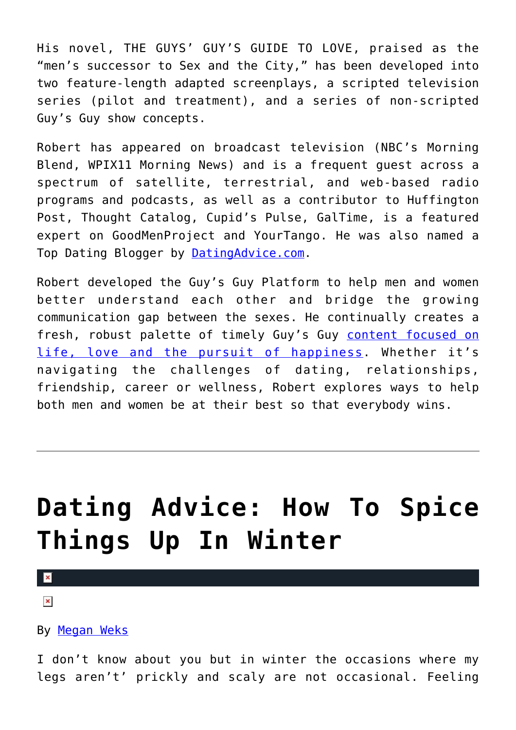His novel, THE GUYS' GUY'S GUIDE TO LOVE, praised as the "men's successor to Sex and the City," has been developed into two feature-length adapted screenplays, a scripted television series (pilot and treatment), and a series of non-scripted Guy's Guy show concepts.

Robert has appeared on broadcast television (NBC's Morning Blend, WPIX11 Morning News) and is a frequent guest across a spectrum of satellite, terrestrial, and web-based radio programs and podcasts, as well as a contributor to Huffington Post, Thought Catalog, Cupid's Pulse, GalTime, is a featured expert on GoodMenProject and YourTango. He was also named a Top Dating Blogger by [DatingAdvice.com](http://datingadvice.com/).

Robert developed the Guy's Guy Platform to help men and women better understand each other and bridge the growing communication gap between the sexes. He continually creates a fresh, robust palette of timely Guy's Guy [content focused on](http://robertmanni.com/) [life, love and the pursuit of happiness](http://robertmanni.com/). Whether it's navigating the challenges of dating, relationships, friendship, career or wellness, Robert explores ways to help both men and women be at their best so that everybody wins.

## **[Dating Advice: How To Spice](https://cupidspulse.com/129553/dating-advice-how-spice-things-winter/) [Things Up In Winter](https://cupidspulse.com/129553/dating-advice-how-spice-things-winter/)**

### $\mathbf{x}$

 $\pmb{\times}$ 

By [Megan Weks](http://cupidspulse.com/relationship-experts/megan-weks/)

I don't know about you but in winter the occasions where my legs aren't' prickly and scaly are not occasional. Feeling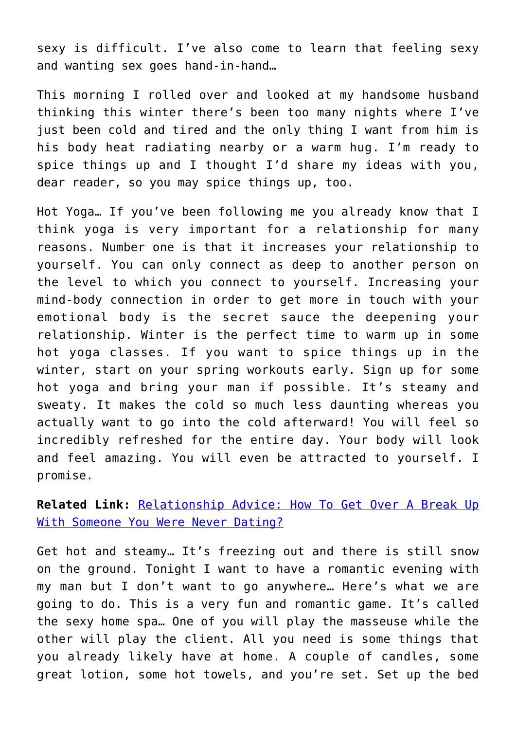sexy is difficult. I've also come to learn that feeling sexy and wanting sex goes hand-in-hand…

This morning I rolled over and looked at my handsome husband thinking this winter there's been too many nights where I've just been cold and tired and the only thing I want from him is his body heat radiating nearby or a warm hug. I'm ready to spice things up and I thought I'd share my ideas with you, dear reader, so you may spice things up, too.

Hot Yoga… If you've been following me you already know that I think yoga is very important for a relationship for many reasons. Number one is that it increases your relationship to yourself. You can only connect as deep to another person on the level to which you connect to yourself. Increasing your mind-body connection in order to get more in touch with your emotional body is the secret sauce the deepening your relationship. Winter is the perfect time to warm up in some hot yoga classes. If you want to spice things up in the winter, start on your spring workouts early. Sign up for some hot yoga and bring your man if possible. It's steamy and sweaty. It makes the cold so much less daunting whereas you actually want to go into the cold afterward! You will feel so incredibly refreshed for the entire day. Your body will look and feel amazing. You will even be attracted to yourself. I promise.

**Related Link:** [Relationship Advice: How To Get Over A Break Up](http://cupidspulse.com/127654/relationship-advice/) [With Someone You Were Never Dating?](http://cupidspulse.com/127654/relationship-advice/)

Get hot and steamy… It's freezing out and there is still snow on the ground. Tonight I want to have a romantic evening with my man but I don't want to go anywhere… Here's what we are going to do. This is a very fun and romantic game. It's called the sexy home spa… One of you will play the masseuse while the other will play the client. All you need is some things that you already likely have at home. A couple of candles, some great lotion, some hot towels, and you're set. Set up the bed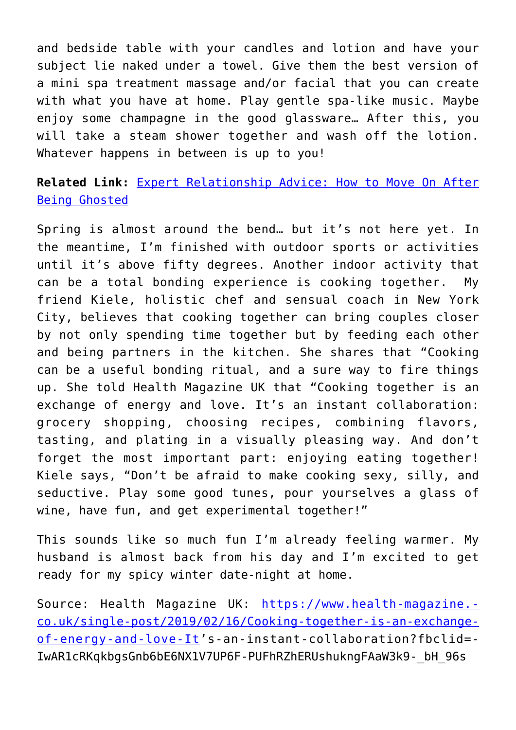and bedside table with your candles and lotion and have your subject lie naked under a towel. Give them the best version of a mini spa treatment massage and/or facial that you can create with what you have at home. Play gentle spa-like music. Maybe enjoy some champagne in the good glassware… After this, you will take a steam shower together and wash off the lotion. Whatever happens in between is up to you!

### **Related Link:** [Expert Relationship Advice: How to Move On After](http://cupidspulse.com/124119/expert-relationship-advice-move-on-after-being-ghosted/) [Being Ghosted](http://cupidspulse.com/124119/expert-relationship-advice-move-on-after-being-ghosted/)

Spring is almost around the bend… but it's not here yet. In the meantime, I'm finished with outdoor sports or activities until it's above fifty degrees. Another indoor activity that can be a total bonding experience is cooking together. My friend Kiele, holistic chef and sensual coach in New York City, believes that cooking together can bring couples closer by not only spending time together but by feeding each other and being partners in the kitchen. She shares that "Cooking can be a useful bonding ritual, and a sure way to fire things up. She told Health Magazine UK that "Cooking together is an exchange of energy and love. It's an instant collaboration: grocery shopping, choosing recipes, combining flavors, tasting, and plating in a visually pleasing way. And don't forget the most important part: enjoying eating together! Kiele says, "Don't be afraid to make cooking sexy, silly, and seductive. Play some good tunes, pour yourselves a glass of wine, have fun, and get experimental together!"

This sounds like so much fun I'm already feeling warmer. My husband is almost back from his day and I'm excited to get ready for my spicy winter date-night at home.

Source: Health Magazine UK: [https://www.health-magazine.](https://www.health-magazine.co.uk/single-post/2019/02/16/Cooking-together-is-an-exchange-of-energy-and-love-It) [co.uk/single-post/2019/02/16/Cooking-together-is-an-exchange](https://www.health-magazine.co.uk/single-post/2019/02/16/Cooking-together-is-an-exchange-of-energy-and-love-It)[of-energy-and-love-It'](https://www.health-magazine.co.uk/single-post/2019/02/16/Cooking-together-is-an-exchange-of-energy-and-love-It)s-an-instant-collaboration?fbclid=- IwAR1cRKqkbgsGnb6bE6NX1V7UP6F-PUFhRZhERUshukngFAaW3k9-\_bH\_96s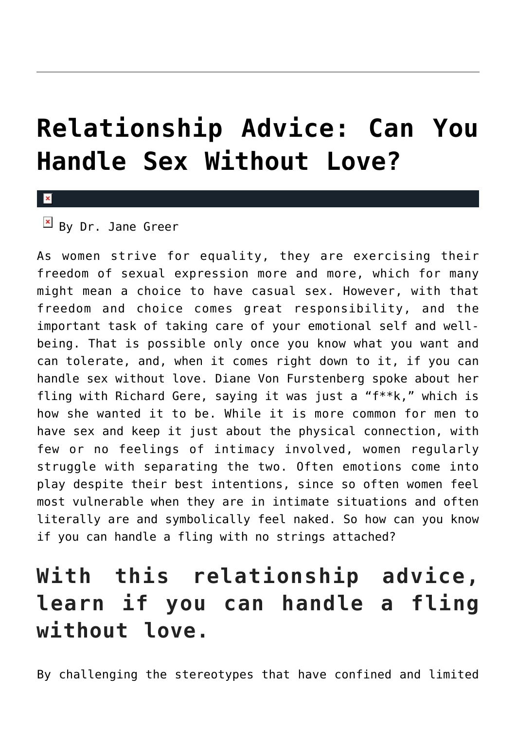## **[Relationship Advice: Can You](https://cupidspulse.com/129417/relationship-advice-dr-jane-greer-handle-sex-without-love/) [Handle Sex Without Love?](https://cupidspulse.com/129417/relationship-advice-dr-jane-greer-handle-sex-without-love/)**

#### $\pmb{\times}$

### $\overline{B}$  By Dr. Jane Greer

As women strive for equality, they are exercising their freedom of sexual expression more and more, which for many might mean a choice to have casual sex. However, with that freedom and choice comes great responsibility, and the important task of taking care of your emotional self and wellbeing. That is possible only once you know what you want and can tolerate, and, when it comes right down to it, if you can handle sex without love. Diane Von Furstenberg spoke about her fling with Richard Gere, saying it was just a "f\*\*k," which is how she wanted it to be. While it is more common for men to have sex and keep it just about the physical connection, with few or no feelings of intimacy involved, women regularly struggle with separating the two. Often emotions come into play despite their best intentions, since so often women feel most vulnerable when they are in intimate situations and often literally are and symbolically feel naked. So how can you know if you can handle a fling with no strings attached?

### **With this relationship advice, learn if you can handle a fling without love.**

By challenging the stereotypes that have confined and limited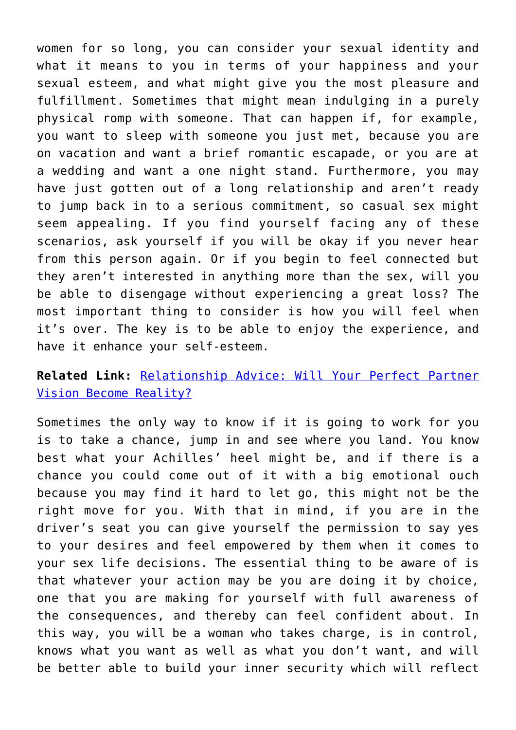women for so long, you can consider your sexual identity and what it means to you in terms of your happiness and your sexual esteem, and what might give you the most pleasure and fulfillment. Sometimes that might mean indulging in a purely physical romp with someone. That can happen if, for example, you want to sleep with someone you just met, because you are on vacation and want a brief romantic escapade, or you are at a wedding and want a one night stand. Furthermore, you may have just gotten out of a long relationship and aren't ready to jump back in to a serious commitment, so casual sex might seem appealing. If you find yourself facing any of these scenarios, ask yourself if you will be okay if you never hear from this person again. Or if you begin to feel connected but they aren't interested in anything more than the sex, will you be able to disengage without experiencing a great loss? The most important thing to consider is how you will feel when it's over. The key is to be able to enjoy the experience, and have it enhance your self-esteem.

### **Related Link:** [Relationship Advice: Will Your Perfect Partner](http://cupidspulse.com/126956/relationship-advice-perfect-partner-vision-become-reality/#more-126956) [Vision Become Reality?](http://cupidspulse.com/126956/relationship-advice-perfect-partner-vision-become-reality/#more-126956)

Sometimes the only way to know if it is going to work for you is to take a chance, jump in and see where you land. You know best what your Achilles' heel might be, and if there is a chance you could come out of it with a big emotional ouch because you may find it hard to let go, this might not be the right move for you. With that in mind, if you are in the driver's seat you can give yourself the permission to say yes to your desires and feel empowered by them when it comes to your sex life decisions. The essential thing to be aware of is that whatever your action may be you are doing it by choice, one that you are making for yourself with full awareness of the consequences, and thereby can feel confident about. In this way, you will be a woman who takes charge, is in control, knows what you want as well as what you don't want, and will be better able to build your inner security which will reflect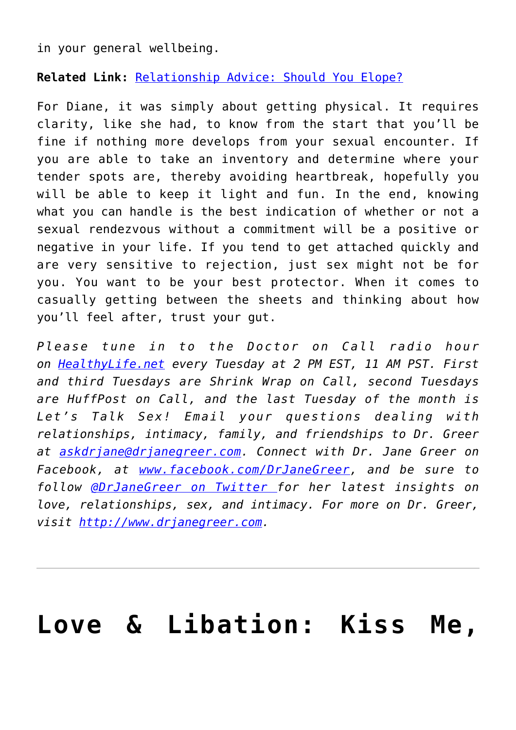in your general wellbeing.

**Related Link:** [Relationship Advice: Should You Elope?](http://cupidspulse.com/128495/relationship-advice-elope/#more-128495)

For Diane, it was simply about getting physical. It requires clarity, like she had, to know from the start that you'll be fine if nothing more develops from your sexual encounter. If you are able to take an inventory and determine where your tender spots are, thereby avoiding heartbreak, hopefully you will be able to keep it light and fun. In the end, knowing what you can handle is the best indication of whether or not a sexual rendezvous without a commitment will be a positive or negative in your life. If you tend to get attached quickly and are very sensitive to rejection, just sex might not be for you. You want to be your best protector. When it comes to casually getting between the sheets and thinking about how you'll feel after, trust your gut.

*Please tune in to the Doctor on Call radio hour on [HealthyLife.net](http://www.healthylife.net/) every Tuesday at 2 PM EST, 11 AM PST. First and third Tuesdays are Shrink Wrap on Call, second Tuesdays are HuffPost on Call, and the last Tuesday of the month is Let's Talk Sex! Email your questions dealing with relationships, intimacy, family, and friendships to Dr. Greer at [askdrjane@drjanegreer.com](mailto:askdrjane@drjanegreer.com). Connect with Dr. Jane Greer on Facebook, at [www.facebook.com/DrJaneGreer,](http://www.facebook.com/DrJaneGreer) and be sure to follow [@DrJaneGreer on Twitter f](https://twitter.com/#!/DrJaneGreer)or her latest insights on love, relationships, sex, and intimacy. For more on Dr. Greer, visit [http://www.drjanegreer.com.](http://www.drjanegreer.com/)*

### **[Love & Libation: Kiss Me,](https://cupidspulse.com/129334/love-libation-kiss-cocktails-inspired-irish-authors/)**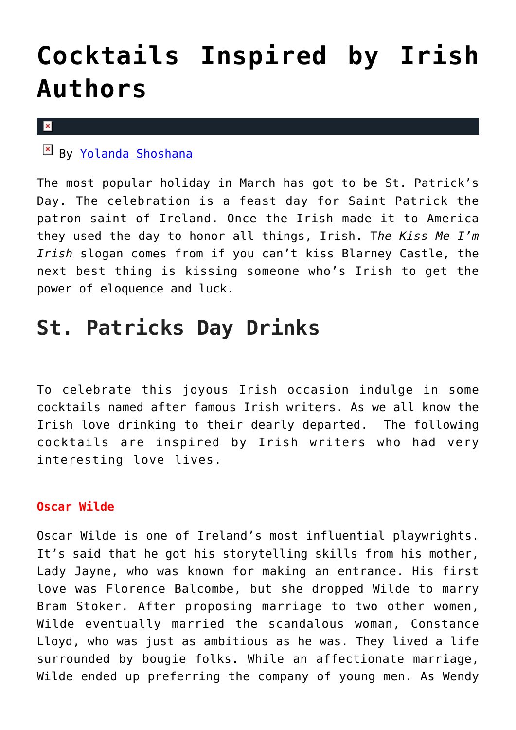## **[Cocktails Inspired by Irish](https://cupidspulse.com/129334/love-libation-kiss-cocktails-inspired-irish-authors/) [Authors](https://cupidspulse.com/129334/love-libation-kiss-cocktails-inspired-irish-authors/)**

 $\mathbf x$ 

By [Yolanda Shoshana](http://cupidspulse.com/relationship-experts/yolanda-shoshana/)

The most popular holiday in March has got to be St. Patrick's Day. The celebration is a feast day for Saint Patrick the patron saint of Ireland. Once the Irish made it to America they used the day to honor all things, Irish. T*he Kiss Me I'm Irish* slogan comes from if you can't kiss Blarney Castle, the next best thing is kissing someone who's Irish to get the power of eloquence and luck.

### **St. Patricks Day Drinks**

To celebrate this joyous Irish occasion indulge in some cocktails named after famous Irish writers. As we all know the Irish love drinking to their dearly departed. The following cocktails are inspired by Irish writers who had very interesting love lives.

### **Oscar Wilde**

Oscar Wilde is one of Ireland's most influential playwrights. It's said that he got his storytelling skills from his mother, Lady Jayne, who was known for making an entrance. His first love was Florence Balcombe, but she dropped Wilde to marry Bram Stoker. After proposing marriage to two other women, Wilde eventually married the scandalous woman, Constance Lloyd, who was just as ambitious as he was. They lived a life surrounded by bougie folks. While an affectionate marriage, Wilde ended up preferring the company of young men. As Wendy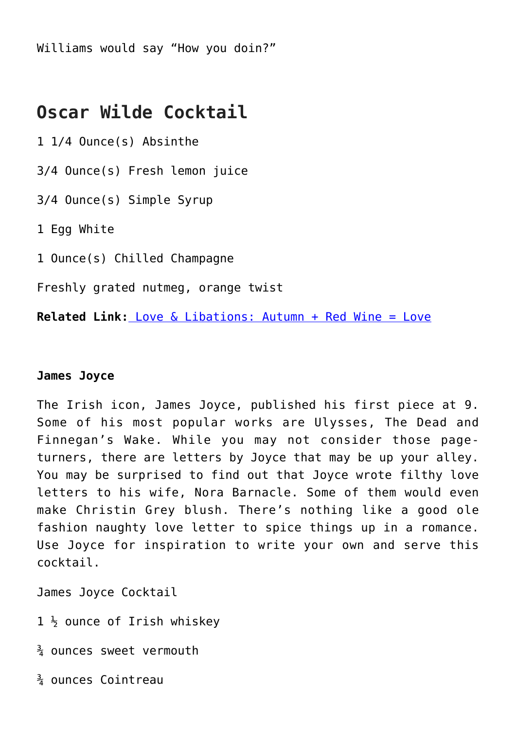Williams would say "How you doin?"

### **Oscar Wilde Cocktail**

1 1/4 Ounce(s) Absinthe

3/4 Ounce(s) Fresh lemon juice

3/4 Ounce(s) Simple Syrup

1 Egg White

1 Ounce(s) Chilled Champagne

Freshly grated nutmeg, orange twist

**Related Link:** [Love & Libations: Autumn + Red Wine = Love](http://cupidspulse.com/126761/love-libations-autumn-red-wine-love/)

### **James Joyce**

The Irish icon, James Joyce, published his first piece at 9. Some of his most popular works are Ulysses, The Dead and Finnegan's Wake. While you may not consider those pageturners, there are letters by Joyce that may be up your alley. You may be surprised to find out that Joyce wrote filthy love letters to his wife, Nora Barnacle. Some of them would even make Christin Grey blush. There's nothing like a good ole fashion naughty love letter to spice things up in a romance. Use Joyce for inspiration to write your own and serve this cocktail.

James Joyce Cocktail

 $1 \frac{1}{2}$  ounce of Irish whiskey

 $\frac{3}{4}$  ounces sweet vermouth

¾ ounces Cointreau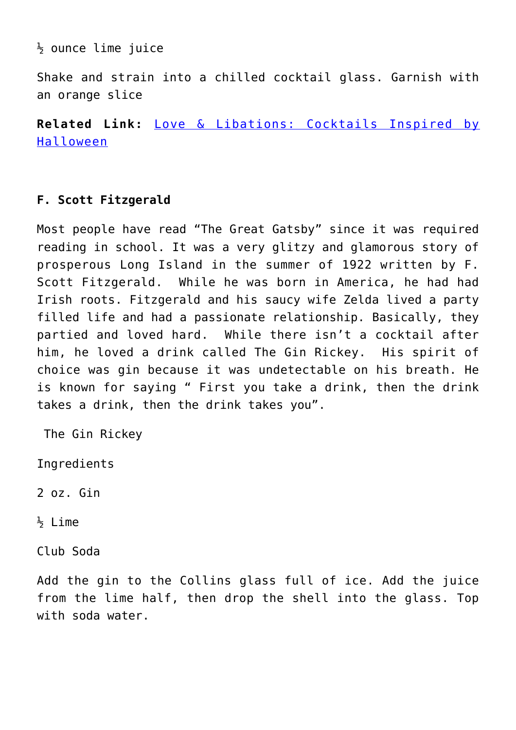$\frac{1}{2}$  ounce lime juice

Shake and strain into a chilled cocktail glass. Garnish with an orange slice

**Related Link:** [Love & Libations: Cocktails Inspired by](http://cupidspulse.com/127092/love-libations-cocktails-inspired-halloween/) [Halloween](http://cupidspulse.com/127092/love-libations-cocktails-inspired-halloween/)

### **F. Scott Fitzgerald**

Most people have read "The Great Gatsby" since it was required reading in school. It was a very glitzy and glamorous story of prosperous Long Island in the summer of 1922 written by F. Scott Fitzgerald. While he was born in America, he had had Irish roots. Fitzgerald and his saucy wife Zelda lived a party filled life and had a passionate relationship. Basically, they partied and loved hard. While there isn't a cocktail after him, he loved a drink called The Gin Rickey. His spirit of choice was gin because it was undetectable on his breath. He is known for saying " First you take a drink, then the drink takes a drink, then the drink takes you".

The Gin Rickey

Ingredients

 $\frac{1}{2}$  Lime

Club Soda

Add the gin to the Collins glass full of ice. Add the juice from the lime half, then drop the shell into the glass. Top with soda water.

<sup>2</sup> oz. Gin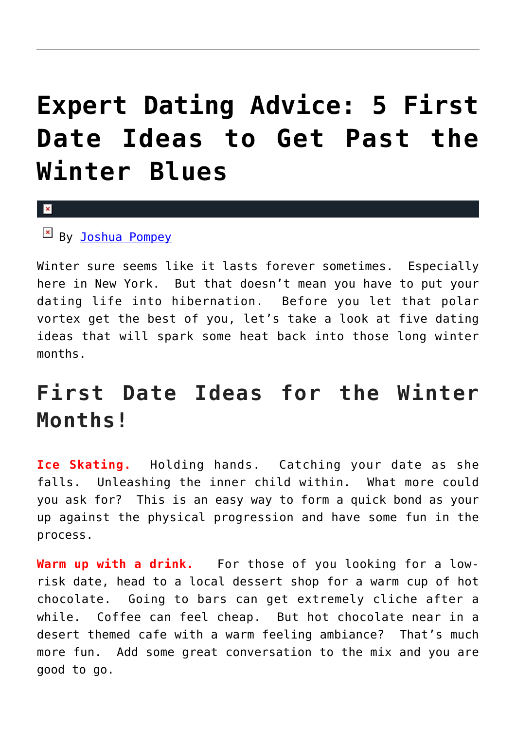## **[Expert Dating Advice: 5 First](https://cupidspulse.com/128852/expert-dating-advice-5-first-date-ideas-to-get-past-the-winter-blues/) [Date Ideas to Get Past the](https://cupidspulse.com/128852/expert-dating-advice-5-first-date-ideas-to-get-past-the-winter-blues/) [Winter Blues](https://cupidspulse.com/128852/expert-dating-advice-5-first-date-ideas-to-get-past-the-winter-blues/)**

x

By [Joshua Pompey](http://cupidspulse.com/relationship-experts/joshua-pompey/)

Winter sure seems like it lasts forever sometimes. Especially here in New York. But that doesn't mean you have to put your dating life into hibernation. Before you let that polar vortex get the best of you, let's take a look at five dating ideas that will spark some heat back into those long winter months.

### **First Date Ideas for the Winter Months!**

**Ice Skating.** Holding hands. Catching your date as she falls. Unleashing the inner child within. What more could you ask for? This is an easy way to form a quick bond as your up against the physical progression and have some fun in the process.

**Warm up with a drink.** For those of you looking for a lowrisk date, head to a local dessert shop for a warm cup of hot chocolate. Going to bars can get extremely cliche after a while. Coffee can feel cheap. But hot chocolate near in a desert themed cafe with a warm feeling ambiance? That's much more fun. Add some great conversation to the mix and you are good to go.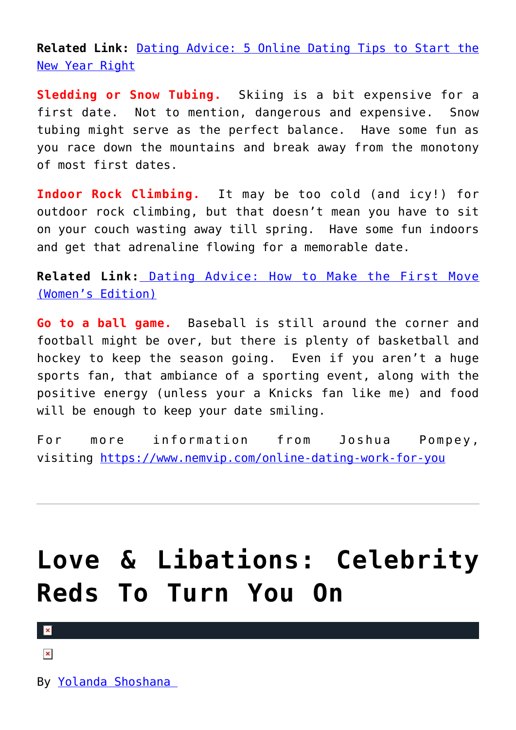**Related Link:** [Dating Advice: 5 Online Dating Tips to Start the](http://cupidspulse.com/128406/dating-advice-5-online-dating-tips-to-start-the-new-year-right/) [New Year Right](http://cupidspulse.com/128406/dating-advice-5-online-dating-tips-to-start-the-new-year-right/)

**Sledding or Snow Tubing.** Skiing is a bit expensive for a first date. Not to mention, dangerous and expensive. Snow tubing might serve as the perfect balance. Have some fun as you race down the mountains and break away from the monotony of most first dates.

**Indoor Rock Climbing.** It may be too cold (and icy!) for outdoor rock climbing, but that doesn't mean you have to sit on your couch wasting away till spring. Have some fun indoors and get that adrenaline flowing for a memorable date.

**Related Link:** [Dating Advice: How to Make the First Move](http://cupidspulse.com/119903/dating-advice-make-first-move-womens-edition/) [\(Women's Edition\)](http://cupidspulse.com/119903/dating-advice-make-first-move-womens-edition/)

**Go to a ball game.** Baseball is still around the corner and football might be over, but there is plenty of basketball and hockey to keep the season going. Even if you aren't a huge sports fan, that ambiance of a sporting event, along with the positive energy (unless your a Knicks fan like me) and food will be enough to keep your date smiling.

For more information from Joshua Pompey, visiting <https://www.nemvip.com/online-dating-work-for-you>

## **[Love & Libations: Celebrity](https://cupidspulse.com/128800/love-libations-celebrity-reds/) [Reds To Turn You On](https://cupidspulse.com/128800/love-libations-celebrity-reds/)**

 $\mathbf x$ 

 $\pmb{\times}$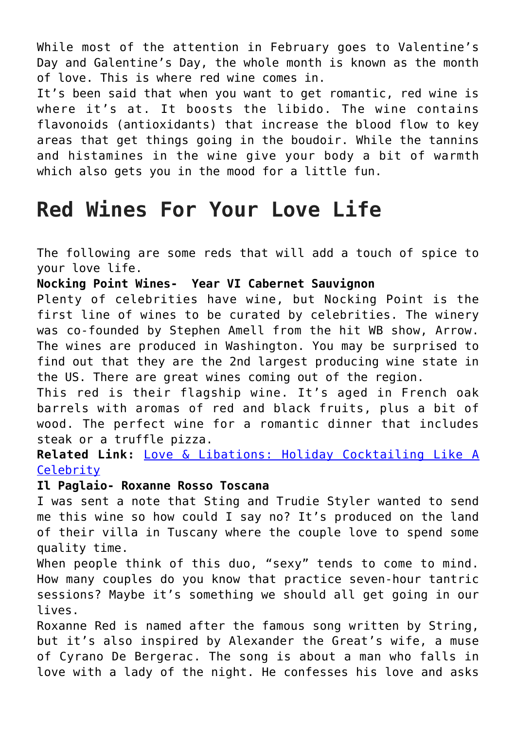While most of the attention in February goes to Valentine's Day and Galentine's Day, the whole month is known as the month of love. This is where red wine comes in.

It's been said that when you want to get romantic, red wine is where it's at. It boosts the libido. The wine contains flavonoids (antioxidants) that increase the blood flow to key areas that get things going in the boudoir. While the tannins and histamines in the wine give your body a bit of warmth which also gets you in the mood for a little fun.

### **Red Wines For Your Love Life**

The following are some reds that will add a touch of spice to your love life.

**Nocking Point Wines- Year VI Cabernet Sauvignon**

Plenty of celebrities have wine, but Nocking Point is the first line of wines to be curated by celebrities. The winery was co-founded by Stephen Amell from the hit WB show, Arrow. The wines are produced in Washington. You may be surprised to find out that they are the 2nd largest producing wine state in the US. There are great wines coming out of the region.

This red is their flagship wine. It's aged in French oak barrels with aromas of red and black fruits, plus a bit of wood. The perfect wine for a romantic dinner that includes steak or a truffle pizza.

**Related Link:** [Love & Libations: Holiday Cocktailing Like A](http://cupidspulse.com/127936/love-libations-holiday-cocktailing-like-a-celebrity/) **[Celebrity](http://cupidspulse.com/127936/love-libations-holiday-cocktailing-like-a-celebrity/)** 

### **Il Paglaio- Roxanne Rosso Toscana**

I was sent a note that Sting and Trudie Styler wanted to send me this wine so how could I say no? It's produced on the land of their villa in Tuscany where the couple love to spend some quality time.

When people think of this duo, "sexy" tends to come to mind. How many couples do you know that practice seven-hour tantric sessions? Maybe it's something we should all get going in our lives.

Roxanne Red is named after the famous song written by String, but it's also inspired by Alexander the Great's wife, a muse of Cyrano De Bergerac. The song is about a man who falls in love with a lady of the night. He confesses his love and asks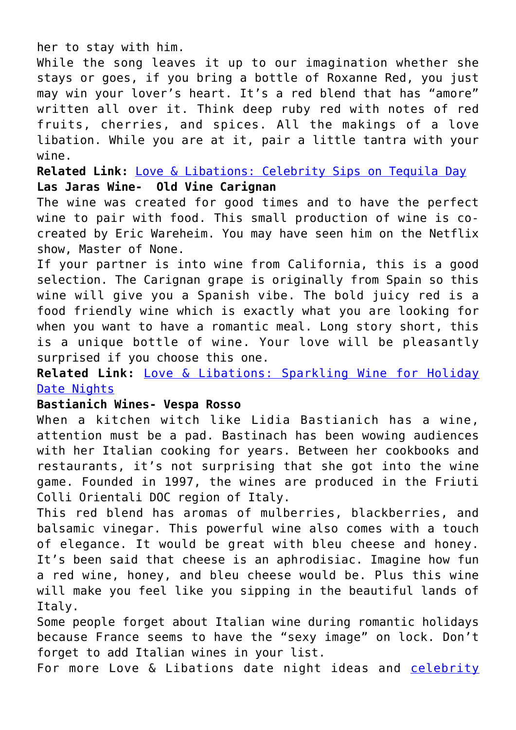her to stay with him.

While the song leaves it up to our imagination whether she stays or goes, if you bring a bottle of Roxanne Red, you just may win your lover's heart. It's a red blend that has "amore" written all over it. Think deep ruby red with notes of red fruits, cherries, and spices. All the makings of a love libation. While you are at it, pair a little tantra with your wine.

**Related Link:** [Love & Libations: Celebrity Sips on Tequila Day](http://cupidspulse.com/125760/love-libations-celebrity-tequila-day/) **Las Jaras Wine- Old Vine Carignan**

The wine was created for good times and to have the perfect wine to pair with food. This small production of wine is cocreated by Eric Wareheim. You may have seen him on the Netflix show, Master of None.

If your partner is into wine from California, this is a good selection. The Carignan grape is originally from Spain so this wine will give you a Spanish vibe. The bold juicy red is a food friendly wine which is exactly what you are looking for when you want to have a romantic meal. Long story short, this is a unique bottle of wine. Your love will be pleasantly surprised if you choose this one.

**Related Link:** [Love & Libations: Sparkling Wine for Holiday](http://cupidspulse.com/122080/love-libations-sparkling-wine-for-holiday-date-nights/) [Date Nights](http://cupidspulse.com/122080/love-libations-sparkling-wine-for-holiday-date-nights/)

### **Bastianich Wines- Vespa Rosso**

When a kitchen witch like Lidia Bastianich has a wine, attention must be a pad. Bastinach has been wowing audiences with her Italian cooking for years. Between her cookbooks and restaurants, it's not surprising that she got into the wine game. Founded in 1997, the wines are produced in the Friuti Colli Orientali DOC region of Italy.

This red blend has aromas of mulberries, blackberries, and balsamic vinegar. This powerful wine also comes with a touch of elegance. It would be great with bleu cheese and honey. It's been said that cheese is an aphrodisiac. Imagine how fun a red wine, honey, and bleu cheese would be. Plus this wine will make you feel like you sipping in the beautiful lands of Italy.

Some people forget about Italian wine during romantic holidays because France seems to have the "sexy image" on lock. Don't forget to add Italian wines in your list.

For more Love & Libations date night ideas and [celebrity](http://cupidspulse.com/celebrity-news/celebrity-dating/)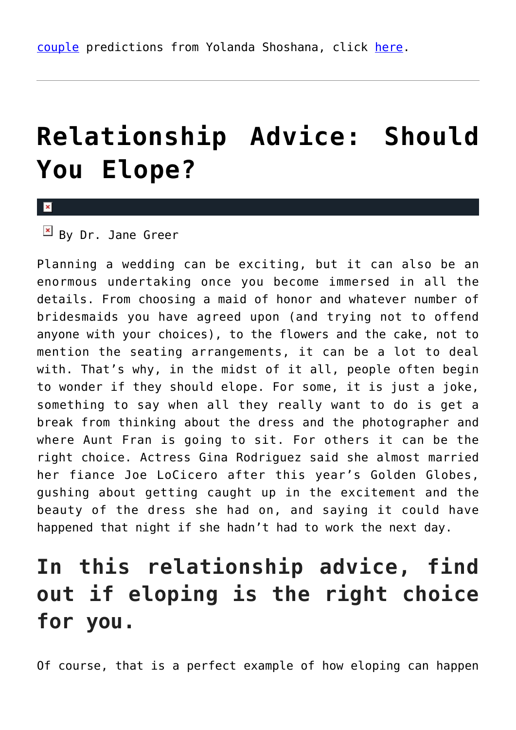## **[Relationship Advice: Should](https://cupidspulse.com/128495/relationship-advice-elope/) [You Elope?](https://cupidspulse.com/128495/relationship-advice-elope/)**

x

By Dr. Jane Greer

Planning a wedding can be exciting, but it can also be an enormous undertaking once you become immersed in all the details. From choosing a maid of honor and whatever number of bridesmaids you have agreed upon (and trying not to offend anyone with your choices), to the flowers and the cake, not to mention the seating arrangements, it can be a lot to deal with. That's why, in the midst of it all, people often begin to wonder if they should elope. For some, it is just a joke, something to say when all they really want to do is get a break from thinking about the dress and the photographer and where Aunt Fran is going to sit. For others it can be the right choice. Actress Gina Rodriguez said she almost married her fiance Joe LoCicero after this year's Golden Globes, gushing about getting caught up in the excitement and the beauty of the dress she had on, and saying it could have happened that night if she hadn't had to work the next day.

### **In this relationship advice, find out if eloping is the right choice for you.**

Of course, that is a perfect example of how eloping can happen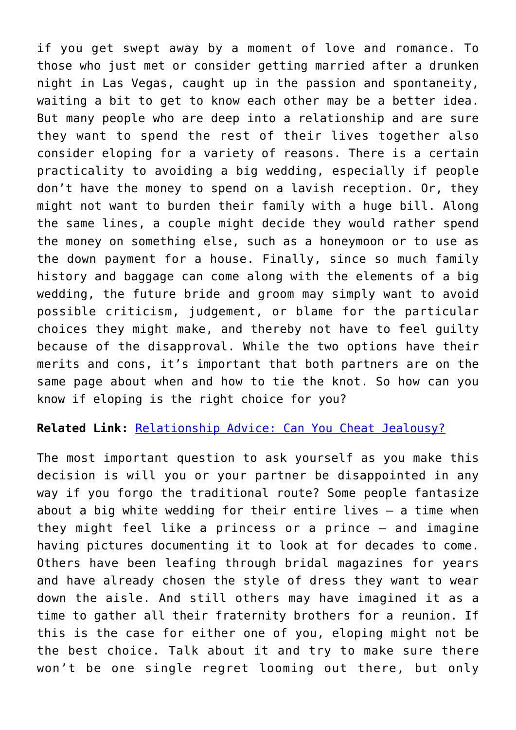if you get swept away by a moment of love and romance. To those who just met or consider getting married after a drunken night in Las Vegas, caught up in the passion and spontaneity, waiting a bit to get to know each other may be a better idea. But many people who are deep into a relationship and are sure they want to spend the rest of their lives together also consider eloping for a variety of reasons. There is a certain practicality to avoiding a big wedding, especially if people don't have the money to spend on a lavish reception. Or, they might not want to burden their family with a huge bill. Along the same lines, a couple might decide they would rather spend the money on something else, such as a honeymoon or to use as the down payment for a house. Finally, since so much family history and baggage can come along with the elements of a big wedding, the future bride and groom may simply want to avoid possible criticism, judgement, or blame for the particular choices they might make, and thereby not have to feel guilty because of the disapproval. While the two options have their merits and cons, it's important that both partners are on the same page about when and how to tie the knot. So how can you know if eloping is the right choice for you?

**Related Link:** [Relationship Advice: Can You Cheat Jealousy?](http://cupidspulse.com/116711/relationship-advice-cheat-jealousy-dr-jane-greer/)

The most important question to ask yourself as you make this decision is will you or your partner be disappointed in any way if you forgo the traditional route? Some people fantasize about a big white wedding for their entire lives – a time when they might feel like a princess or a prince – and imagine having pictures documenting it to look at for decades to come. Others have been leafing through bridal magazines for years and have already chosen the style of dress they want to wear down the aisle. And still others may have imagined it as a time to gather all their fraternity brothers for a reunion. If this is the case for either one of you, eloping might not be the best choice. Talk about it and try to make sure there won't be one single regret looming out there, but only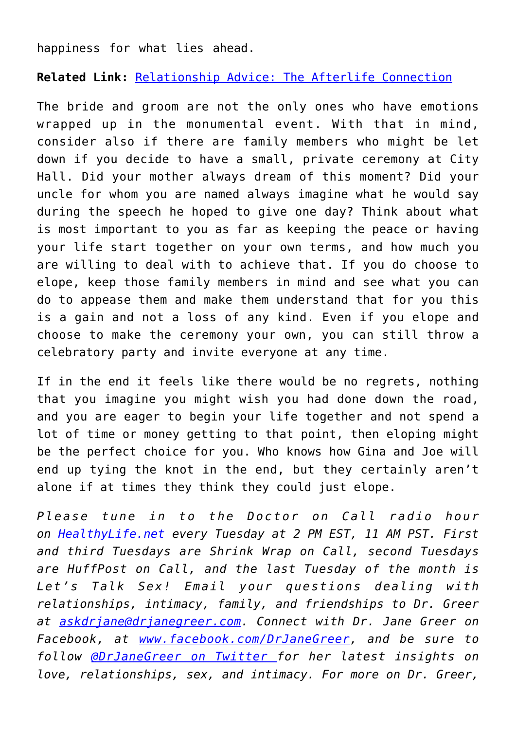happiness for what lies ahead.

**Related Link:** [Relationship Advice: The Afterlife Connection](http://cupidspulse.com/127045/relationship-advice-afterlife-connection-dr-jane-greer/)

The bride and groom are not the only ones who have emotions wrapped up in the monumental event. With that in mind, consider also if there are family members who might be let down if you decide to have a small, private ceremony at City Hall. Did your mother always dream of this moment? Did your uncle for whom you are named always imagine what he would say during the speech he hoped to give one day? Think about what is most important to you as far as keeping the peace or having your life start together on your own terms, and how much you are willing to deal with to achieve that. If you do choose to elope, keep those family members in mind and see what you can do to appease them and make them understand that for you this is a gain and not a loss of any kind. Even if you elope and choose to make the ceremony your own, you can still throw a celebratory party and invite everyone at any time.

If in the end it feels like there would be no regrets, nothing that you imagine you might wish you had done down the road, and you are eager to begin your life together and not spend a lot of time or money getting to that point, then eloping might be the perfect choice for you. Who knows how Gina and Joe will end up tying the knot in the end, but they certainly aren't alone if at times they think they could just elope.

*Please tune in to the Doctor on Call radio hour on [HealthyLife.net](http://www.healthylife.net/) every Tuesday at 2 PM EST, 11 AM PST. First and third Tuesdays are Shrink Wrap on Call, second Tuesdays are HuffPost on Call, and the last Tuesday of the month is Let's Talk Sex! Email your questions dealing with relationships, intimacy, family, and friendships to Dr. Greer at [askdrjane@drjanegreer.com](mailto:askdrjane@drjanegreer.com). Connect with Dr. Jane Greer on Facebook, at [www.facebook.com/DrJaneGreer,](http://www.facebook.com/DrJaneGreer) and be sure to follow [@DrJaneGreer on Twitter f](https://twitter.com/#!/DrJaneGreer)or her latest insights on love, relationships, sex, and intimacy. For more on Dr. Greer,*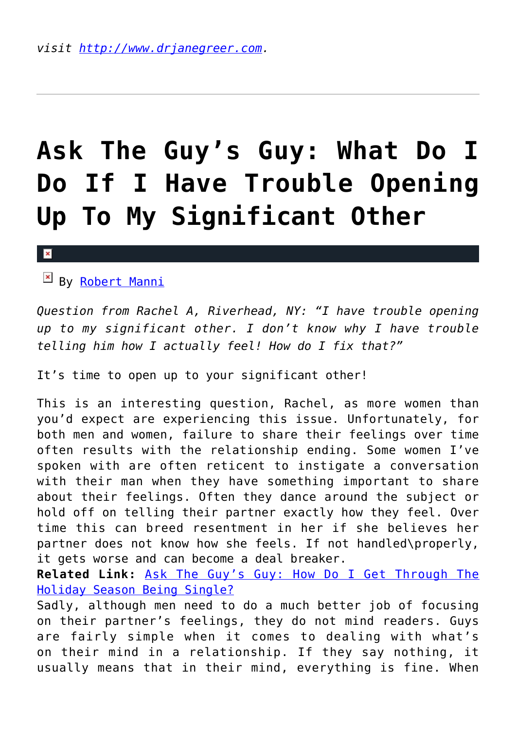# **[Ask The Guy's Guy: What Do I](https://cupidspulse.com/128473/ask-guys-guy-trouble-opening-significant-other/) [Do If I Have Trouble Opening](https://cupidspulse.com/128473/ask-guys-guy-trouble-opening-significant-other/) [Up To My Significant Other](https://cupidspulse.com/128473/ask-guys-guy-trouble-opening-significant-other/)**

By [Robert Manni](http://cupidspulse.com/relationship-experts/robertmanni/)

*Question from Rachel A, Riverhead, NY: "I have trouble opening up to my significant other. I don't know why I have trouble telling him how I actually feel! How do I fix that?"*

It's time to open up to your significant other!

This is an interesting question, Rachel, as more women than you'd expect are experiencing this issue. Unfortunately, for both men and women, failure to share their feelings over time often results with the relationship ending. Some women I've spoken with are often reticent to instigate a conversation with their man when they have something important to share about their feelings. Often they dance around the subject or hold off on telling their partner exactly how they feel. Over time this can breed resentment in her if she believes her partner does not know how she feels. If not handled\properly, it gets worse and can become a deal breaker.

**Related Link:** [Ask The Guy's Guy: How Do I Get Through The](http://cupidspulse.com/128012/ask-guys-guy-through-holiday-season-being-single/) [Holiday Season Being Single?](http://cupidspulse.com/128012/ask-guys-guy-through-holiday-season-being-single/)

Sadly, although men need to do a much better job of focusing on their partner's feelings, they do not mind readers. Guys are fairly simple when it comes to dealing with what's on their mind in a relationship. If they say nothing, it usually means that in their mind, everything is fine. When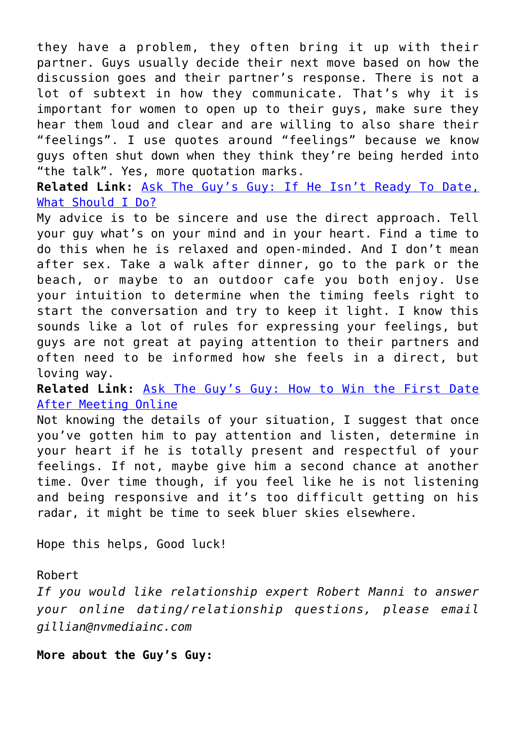they have a problem, they often bring it up with their partner. Guys usually decide their next move based on how the discussion goes and their partner's response. There is not a lot of subtext in how they communicate. That's why it is important for women to open up to their guys, make sure they hear them loud and clear and are willing to also share their "feelings". I use quotes around "feelings" because we know guys often shut down when they think they're being herded into "the talk". Yes, more quotation marks.

**Related Link:** [Ask The Guy's Guy: If He Isn't Ready To Date,](http://cupidspulse.com/127613/guys-guy-date-not-ready/) [What Should I Do?](http://cupidspulse.com/127613/guys-guy-date-not-ready/)

My advice is to be sincere and use the direct approach. Tell your guy what's on your mind and in your heart. Find a time to do this when he is relaxed and open-minded. And I don't mean after sex. Take a walk after dinner, go to the park or the beach, or maybe to an outdoor cafe you both enjoy. Use your intuition to determine when the timing feels right to start the conversation and try to keep it light. I know this sounds like a lot of rules for expressing your feelings, but guys are not great at paying attention to their partners and often need to be informed how she feels in a direct, but loving way.

**Related Link:** [Ask The Guy's Guy: How to Win the First Date](http://cupidspulse.com/126629/ask-guy-win-first-date-after-meeting-online/) [After Meeting Online](http://cupidspulse.com/126629/ask-guy-win-first-date-after-meeting-online/)

Not knowing the details of your situation, I suggest that once you've gotten him to pay attention and listen, determine in your heart if he is totally present and respectful of your feelings. If not, maybe give him a second chance at another time. Over time though, if you feel like he is not listening and being responsive and it's too difficult getting on his radar, it might be time to seek bluer skies elsewhere.

Hope this helps, Good luck!

Robert

*If you would like relationship expert Robert Manni to answer your online dating/relationship questions, please email gillian@nvmediainc.com*

**More about the Guy's Guy:**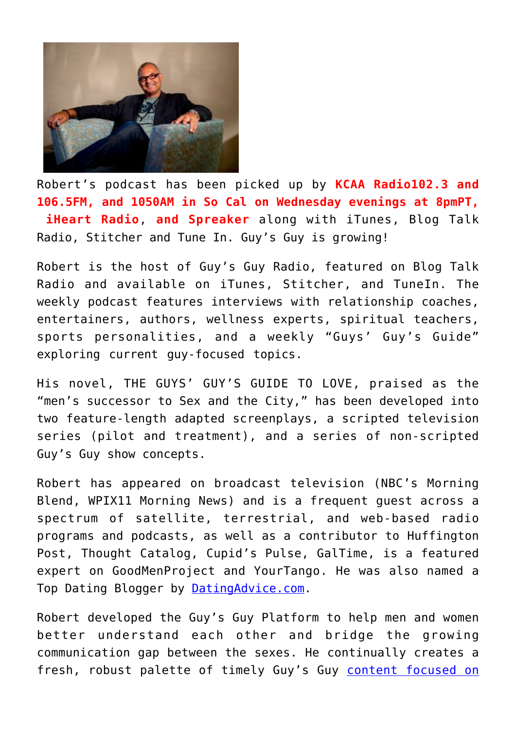

Robert's podcast has been picked up by **KCAA Radio102.3 and 106.5FM, and 1050AM in So Cal on Wednesday evenings at 8pmPT, iHeart Radio**, **and Spreaker** along with iTunes, Blog Talk Radio, Stitcher and Tune In. Guy's Guy is growing!

Robert is the host of Guy's Guy Radio, featured on Blog Talk Radio and available on iTunes, Stitcher, and TuneIn. The weekly podcast features interviews with relationship coaches, entertainers, authors, wellness experts, spiritual teachers, sports personalities, and a weekly "Guys' Guy's Guide" exploring current guy-focused topics.

His novel, THE GUYS' GUY'S GUIDE TO LOVE, praised as the "men's successor to Sex and the City," has been developed into two feature-length adapted screenplays, a scripted television series (pilot and treatment), and a series of non-scripted Guy's Guy show concepts.

Robert has appeared on broadcast television (NBC's Morning Blend, WPIX11 Morning News) and is a frequent guest across a spectrum of satellite, terrestrial, and web-based radio programs and podcasts, as well as a contributor to Huffington Post, Thought Catalog, Cupid's Pulse, GalTime, is a featured expert on GoodMenProject and YourTango. He was also named a Top Dating Blogger by **DatingAdvice.com**.

Robert developed the Guy's Guy Platform to help men and women better understand each other and bridge the growing communication gap between the sexes. He continually creates a fresh, robust palette of timely Guy's Guy [content focused on](http://robertmanni.com/)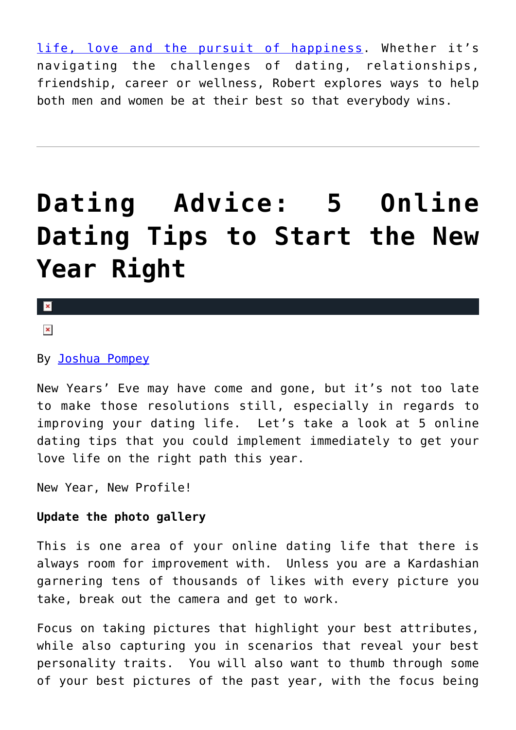[life, love and the pursuit of happiness](http://robertmanni.com/). Whether it's navigating the challenges of dating, relationships, friendship, career or wellness, Robert explores ways to help both men and women be at their best so that everybody wins.

# **[Dating Advice: 5 Online](https://cupidspulse.com/128406/dating-advice-5-online-dating-tips-to-start-the-new-year-right/) [Dating Tips to Start the New](https://cupidspulse.com/128406/dating-advice-5-online-dating-tips-to-start-the-new-year-right/) [Year Right](https://cupidspulse.com/128406/dating-advice-5-online-dating-tips-to-start-the-new-year-right/)**

### $\mathbf{x}$

### $\pmb{\times}$

### By [Joshua Pompey](http://cupidspulse.com/relationship-experts/joshua-pompey/)

New Years' Eve may have come and gone, but it's not too late to make those resolutions still, especially in regards to improving your dating life. Let's take a look at 5 online dating tips that you could implement immediately to get your love life on the right path this year.

New Year, New Profile!

### **Update the photo gallery**

This is one area of your online dating life that there is always room for improvement with. Unless you are a Kardashian garnering tens of thousands of likes with every picture you take, break out the camera and get to work.

Focus on taking pictures that highlight your best attributes, while also capturing you in scenarios that reveal your best personality traits. You will also want to thumb through some of your best pictures of the past year, with the focus being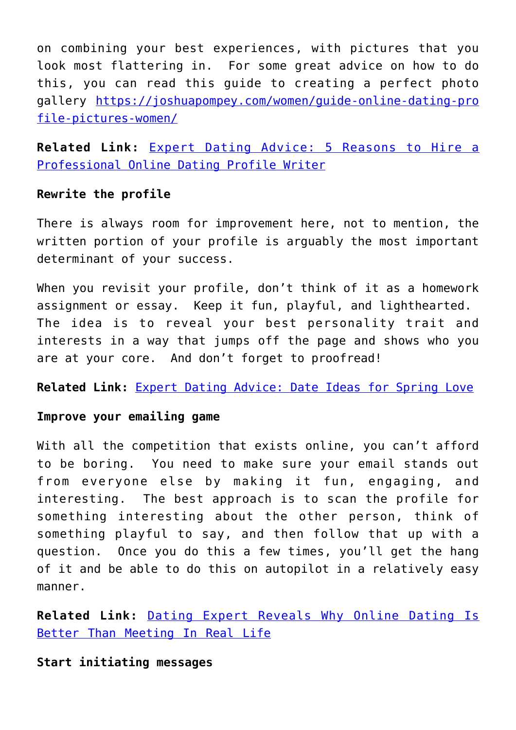on combining your best experiences, with pictures that you look most flattering in. For some great advice on how to do this, you can read this guide to creating a perfect photo gallery [https://joshuapompey.com/women/guide-online-dating-pro](https://joshuapompey.com/women/guide-online-dating-profile-pictures-women/) [file-pictures-women/](https://joshuapompey.com/women/guide-online-dating-profile-pictures-women/)

**Related Link:** [Expert Dating Advice: 5 Reasons to Hire a](http://cupidspulse.com/127108/expert-dating-advice-5-reasons-hire-professional-online-dating-profile-writer/) [Professional Online Dating Profile Writer](http://cupidspulse.com/127108/expert-dating-advice-5-reasons-hire-professional-online-dating-profile-writer/)

### **Rewrite the profile**

There is always room for improvement here, not to mention, the written portion of your profile is arguably the most important determinant of your success.

When you revisit your profile, don't think of it as a homework assignment or essay. Keep it fun, playful, and lighthearted. The idea is to reveal your best personality trait and interests in a way that jumps off the page and shows who you are at your core. And don't forget to proofread!

**Related Link:** [Expert Dating Advice: Date Ideas for Spring Love](http://cupidspulse.com/124781/expert-dating-advice-date-ideas-spring/)

### **Improve your emailing game**

With all the competition that exists online, you can't afford to be boring. You need to make sure your email stands out from everyone else by making it fun, engaging, and interesting. The best approach is to scan the profile for something interesting about the other person, think of something playful to say, and then follow that up with a question. Once you do this a few times, you'll get the hang of it and be able to do this on autopilot in a relatively easy manner.

**Related Link:** [Dating Expert Reveals Why Online Dating Is](http://cupidspulse.com/121545/dating-expert-why-online-dating-is-better-than-meeting-in-real-life/) [Better Than Meeting In Real Life](http://cupidspulse.com/121545/dating-expert-why-online-dating-is-better-than-meeting-in-real-life/)

**Start initiating messages**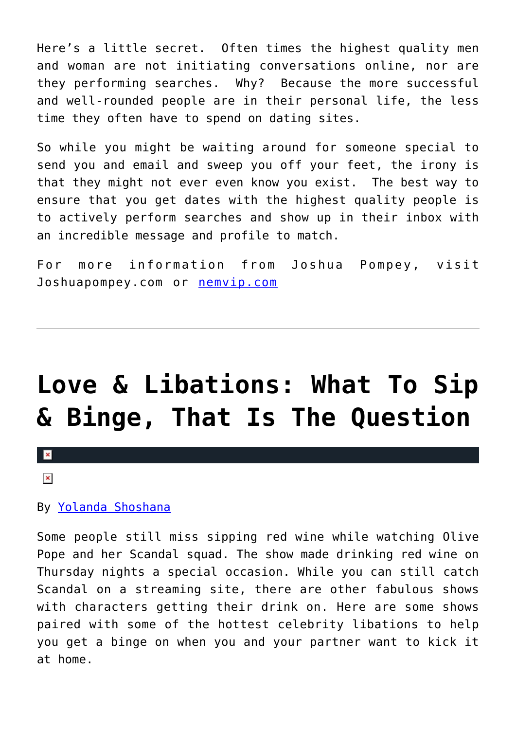Here's a little secret. Often times the highest quality men and woman are not initiating conversations online, nor are they performing searches. Why? Because the more successful and well-rounded people are in their personal life, the less time they often have to spend on dating sites.

So while you might be waiting around for someone special to send you and email and sweep you off your feet, the irony is that they might not ever even know you exist. The best way to ensure that you get dates with the highest quality people is to actively perform searches and show up in their inbox with an incredible message and profile to match.

For more information from Joshua Pompey, visit Joshuapompey.com or [nemvip.com](http://nemvip.com/)

## **[Love & Libations: What To Sip](https://cupidspulse.com/128183/love-libations-sip-binge-question/) [& Binge, That Is The Question](https://cupidspulse.com/128183/love-libations-sip-binge-question/)**

### $\vert \mathbf{x} \vert$

 $\pmb{\times}$ 

### By [Yolanda Shoshana](http://cupidspulse.com/relationship-experts/yolanda-shoshana/)

Some people still miss sipping red wine while watching Olive Pope and her Scandal squad. The show made drinking red wine on Thursday nights a special occasion. While you can still catch Scandal on a streaming site, there are other fabulous shows with characters getting their drink on. Here are some shows paired with some of the hottest celebrity libations to help you get a binge on when you and your partner want to kick it at home.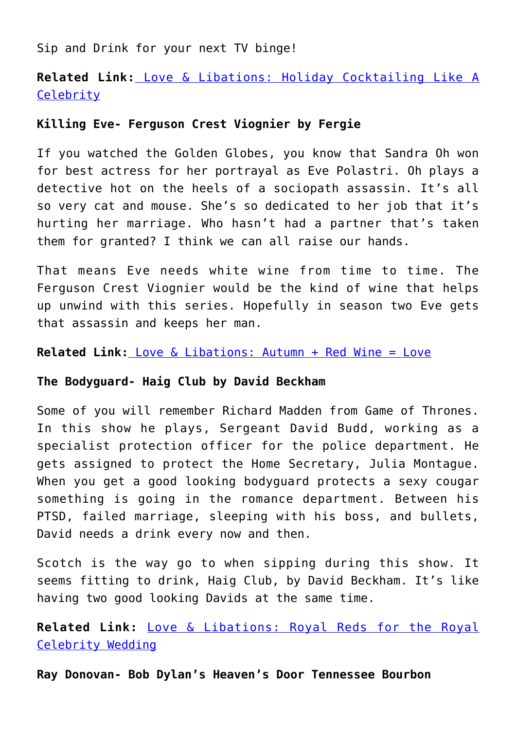Sip and Drink for your next TV binge!

**Related Link:** [Love & Libations: Holiday Cocktailing Like A](http://cupidspulse.com/127936/love-libations-holiday-cocktailing-like-a-celebrity/) **[Celebrity](http://cupidspulse.com/127936/love-libations-holiday-cocktailing-like-a-celebrity/)** 

### **Killing Eve- Ferguson Crest Viognier by Fergie**

If you watched the Golden Globes, you know that Sandra Oh won for best actress for her portrayal as Eve Polastri. Oh plays a detective hot on the heels of a sociopath assassin. It's all so very cat and mouse. She's so dedicated to her job that it's hurting her marriage. Who hasn't had a partner that's taken them for granted? I think we can all raise our hands.

That means Eve needs white wine from time to time. The Ferguson Crest Viognier would be the kind of wine that helps up unwind with this series. Hopefully in season two Eve gets that assassin and keeps her man.

**Related Link[:](http://cupidspulse.com/126761/love-libations-autumn-red-wine-love/)** [Love & Libations: Autumn + Red Wine = Love](http://cupidspulse.com/126761/love-libations-autumn-red-wine-love/)

### **The Bodyguard- Haig Club by David Beckham**

Some of you will remember Richard Madden from Game of Thrones. In this show he plays, Sergeant David Budd, working as a specialist protection officer for the police department. He gets assigned to protect the Home Secretary, Julia Montague. When you get a good looking bodyguard protects a sexy cougar something is going in the romance department. Between his PTSD, failed marriage, sleeping with his boss, and bullets, David needs a drink every now and then.

Scotch is the way go to when sipping during this show. It seems fitting to drink, Haig Club, by David Beckham. It's like having two good looking Davids at the same time.

**Related Link:** [Love & Libations: Royal Reds for the Royal](http://cupidspulse.com/124704/love-libations-reds-royal-celebrity-wedding/) [Celebrity Wedding](http://cupidspulse.com/124704/love-libations-reds-royal-celebrity-wedding/)

**Ray Donovan- Bob Dylan's Heaven's Door Tennessee Bourbon**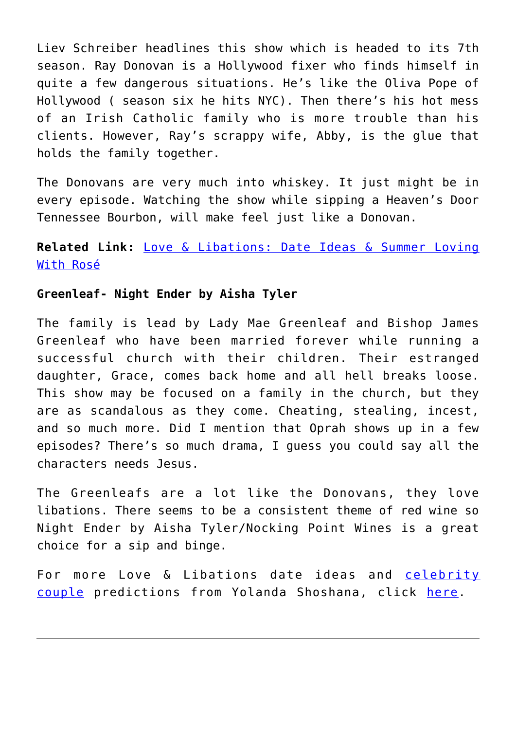Liev Schreiber headlines this show which is headed to its 7th season. Ray Donovan is a Hollywood fixer who finds himself in quite a few dangerous situations. He's like the Oliva Pope of Hollywood ( season six he hits NYC). Then there's his hot mess of an Irish Catholic family who is more trouble than his clients. However, Ray's scrappy wife, Abby, is the glue that holds the family together.

The Donovans are very much into whiskey. It just might be in every episode. Watching the show while sipping a Heaven's Door Tennessee Bourbon, will make feel just like a Donovan.

### **Related Link:** [Love & Libations: Date Ideas & Summer Loving](http://cupidspulse.com/123747/date-ideas-summer-loving-with-rose/) [With Rosé](http://cupidspulse.com/123747/date-ideas-summer-loving-with-rose/)

### **Greenleaf- Night Ender by Aisha Tyler**

The family is lead by Lady Mae Greenleaf and Bishop James Greenleaf who have been married forever while running a successful church with their children. Their estranged daughter, Grace, comes back home and all hell breaks loose. This show may be focused on a family in the church, but they are as scandalous as they come. Cheating, stealing, incest, and so much more. Did I mention that Oprah shows up in a few episodes? There's so much drama, I guess you could say all the characters needs Jesus.

The Greenleafs are a lot like the Donovans, they love libations. There seems to be a consistent theme of red wine so Night Ender by Aisha Tyler/Nocking Point Wines is a great choice for a sip and binge.

For more Love & Libations date ideas and [celebrity](http://cupidspulse.com/celebrity-news/celebrity-dating/) [couple](http://cupidspulse.com/celebrity-news/celebrity-dating/) predictions from Yolanda Shoshana, click [here](http://cupidspulse.com/relationship-experts/yolanda-shoshana/).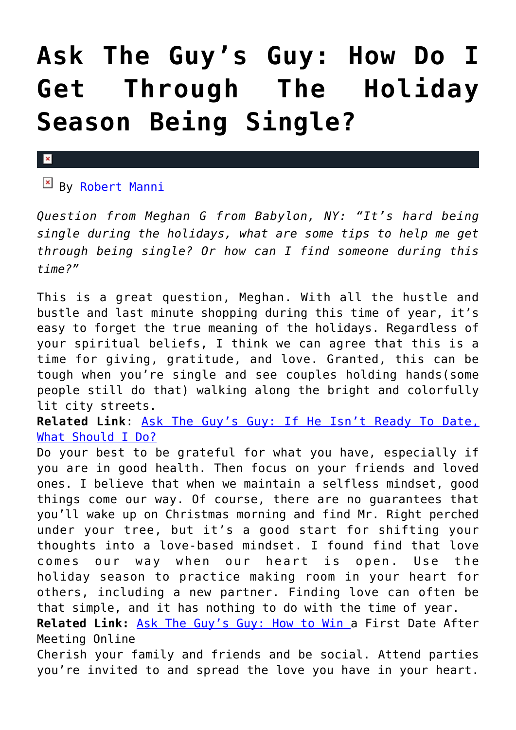## **[Ask The Guy's Guy: How Do I](https://cupidspulse.com/128012/ask-guys-guy-through-holiday-season-being-single/) [Get Through The Holiday](https://cupidspulse.com/128012/ask-guys-guy-through-holiday-season-being-single/) [Season Being Single?](https://cupidspulse.com/128012/ask-guys-guy-through-holiday-season-being-single/)**

#### $\pmb{\times}$

By [Robert Manni](http://cupidspulse.com/relationship-experts/robertmanni/)

*Question from Meghan G from Babylon, NY: "It's hard being single during the holidays, what are some tips to help me get through being single? Or how can I find someone during this time?"*

This is a great question, Meghan. With all the hustle and bustle and last minute shopping during this time of year, it's easy to forget the true meaning of the holidays. Regardless of your spiritual beliefs, I think we can agree that this is a time for giving, gratitude, and love. Granted, this can be tough when you're single and see couples holding hands(some people still do that) walking along the bright and colorfully lit city streets.

**Related Link**: [Ask The Guy's Guy: If He Isn't Ready To Date,](http://cupidspulse.com/127613/guys-guy-date-not-ready/) [What Should I Do?](http://cupidspulse.com/127613/guys-guy-date-not-ready/)

Do your best to be grateful for what you have, especially if you are in good health. Then focus on your friends and loved ones. I believe that when we maintain a selfless mindset, good things come our way. Of course, there are no guarantees that you'll wake up on Christmas morning and find Mr. Right perched under your tree, but it's a good start for shifting your thoughts into a love-based mindset. I found find that love comes our way when our heart is open. Use the holiday season to practice making room in your heart for others, including a new partner. Finding love can often be that simple, and it has nothing to do with the time of year.

**Related Link:** [Ask The Guy's Guy: How to Win a](http://cupidspulse.com/126629/ask-guy-win-first-date-after-meeting-online/) First Date After Meeting Online

Cherish your family and friends and be social. Attend parties you're invited to and spread the love you have in your heart.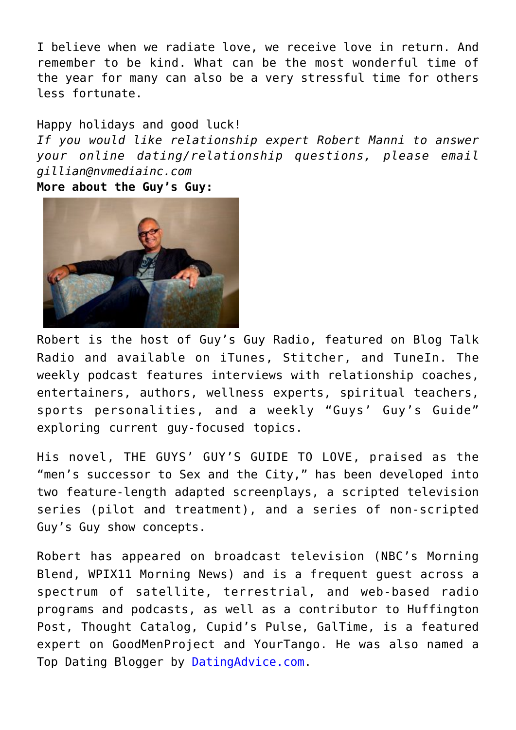I believe when we radiate love, we receive love in return. And remember to be kind. What can be the most wonderful time of the year for many can also be a very stressful time for others less fortunate.

Happy holidays and good luck! *If you would like relationship expert Robert Manni to answer your online dating/relationship questions, please email gillian@nvmediainc.com* **More about the Guy's Guy:** 



Robert is the host of Guy's Guy Radio, featured on Blog Talk Radio and available on iTunes, Stitcher, and TuneIn. The weekly podcast features interviews with relationship coaches, entertainers, authors, wellness experts, spiritual teachers, sports personalities, and a weekly "Guys' Guy's Guide" exploring current guy-focused topics.

His novel, THE GUYS' GUY'S GUIDE TO LOVE, praised as the "men's successor to Sex and the City," has been developed into two feature-length adapted screenplays, a scripted television series (pilot and treatment), and a series of non-scripted Guy's Guy show concepts.

Robert has appeared on broadcast television (NBC's Morning Blend, WPIX11 Morning News) and is a frequent guest across a spectrum of satellite, terrestrial, and web-based radio programs and podcasts, as well as a contributor to Huffington Post, Thought Catalog, Cupid's Pulse, GalTime, is a featured expert on GoodMenProject and YourTango. He was also named a Top Dating Blogger by [DatingAdvice.com](http://datingadvice.com/).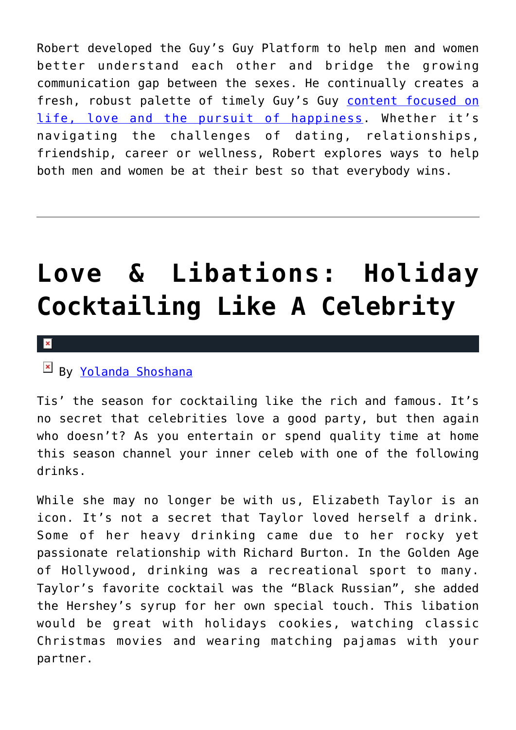Robert developed the Guy's Guy Platform to help men and women better understand each other and bridge the growing communication gap between the sexes. He continually creates a fresh, robust palette of timely Guy's Guy [content focused on](http://robertmanni.com/) [life, love and the pursuit of happiness](http://robertmanni.com/). Whether it's navigating the challenges of dating, relationships, friendship, career or wellness, Robert explores ways to help both men and women be at their best so that everybody wins.

## **[Love & Libations: Holiday](https://cupidspulse.com/127936/love-libations-holiday-cocktailing-like-a-celebrity/) [Cocktailing Like A Celebrity](https://cupidspulse.com/127936/love-libations-holiday-cocktailing-like-a-celebrity/)**

#### $\mathbf{x}$

### By [Yolanda Shoshana](http://cupidspulse.com/relationship-experts/yolanda-shoshana/)

Tis' the season for cocktailing like the rich and famous. It's no secret that celebrities love a good party, but then again who doesn't? As you entertain or spend quality time at home this season channel your inner celeb with one of the following drinks.

While she may no longer be with us, Elizabeth Taylor is an icon. It's not a secret that Taylor loved herself a drink. Some of her heavy drinking came due to her rocky yet passionate relationship with Richard Burton. In the Golden Age of Hollywood, drinking was a recreational sport to many. Taylor's favorite cocktail was the "Black Russian", she added the Hershey's syrup for her own special touch. This libation would be great with holidays cookies, watching classic Christmas movies and wearing matching pajamas with your partner.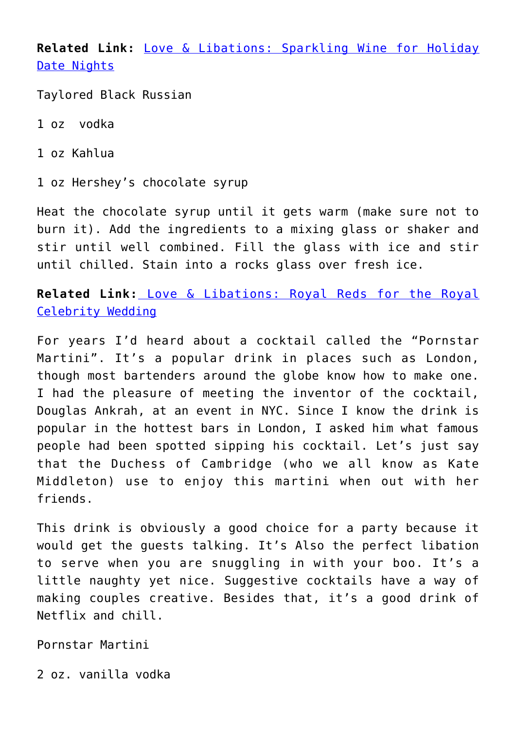**Related Link:** [Love & Libations: Sparkling Wine for Holiday](http://cupidspulse.com/122080/love-libations-sparkling-wine-for-holiday-date-nights/) [Date Nights](http://cupidspulse.com/122080/love-libations-sparkling-wine-for-holiday-date-nights/)

Taylored Black Russian

- 1 oz vodka
- 1 oz Kahlua

1 oz Hershey's chocolate syrup

Heat the chocolate syrup until it gets warm (make sure not to burn it). Add the ingredients to a mixing glass or shaker and stir until well combined. Fill the glass with ice and stir until chilled. Stain into a rocks glass over fresh ice.

**Related Link:** [Love & Libations: Royal Reds for the Royal](http://cupidspulse.com/124704/love-libations-reds-royal-celebrity-wedding/) [Celebrity Wedding](http://cupidspulse.com/124704/love-libations-reds-royal-celebrity-wedding/)

For years I'd heard about a cocktail called the "Pornstar Martini". It's a popular drink in places such as London, though most bartenders around the globe know how to make one. I had the pleasure of meeting the inventor of the cocktail, Douglas Ankrah, at an event in NYC. Since I know the drink is popular in the hottest bars in London, I asked him what famous people had been spotted sipping his cocktail. Let's just say that the Duchess of Cambridge (who we all know as Kate Middleton) use to enjoy this martini when out with her friends.

This drink is obviously a good choice for a party because it would get the guests talking. It's Also the perfect libation to serve when you are snuggling in with your boo. It's a little naughty yet nice. Suggestive cocktails have a way of making couples creative. Besides that, it's a good drink of Netflix and chill.

Pornstar Martini

2 oz. vanilla vodka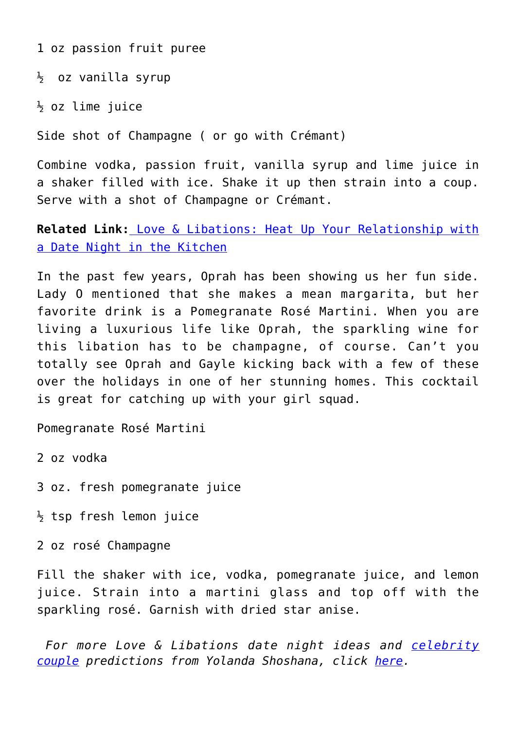1 oz passion fruit puree

 $\frac{1}{2}$  oz vanilla syrup

 $\frac{1}{2}$  oz lime juice

Side shot of Champagne ( or go with Crémant)

Combine vodka, passion fruit, vanilla syrup and lime juice in a shaker filled with ice. Shake it up then strain into a coup. Serve with a shot of Champagne or Crémant.

**Related Link:** [Love & Libations: Heat Up Your Relationship with](http://cupidspulse.com/123332/date-night-in-the-kitchen/) [a Date Night in the Kitchen](http://cupidspulse.com/123332/date-night-in-the-kitchen/)

In the past few years, Oprah has been showing us her fun side. Lady O mentioned that she makes a mean margarita, but her favorite drink is a Pomegranate Rosé Martini. When you are living a luxurious life like Oprah, the sparkling wine for this libation has to be champagne, of course. Can't you totally see Oprah and Gayle kicking back with a few of these over the holidays in one of her stunning homes. This cocktail is great for catching up with your girl squad.

Pomegranate Rosé Martini

2 oz vodka

3 oz. fresh pomegranate juice

 $\frac{1}{2}$  tsp fresh lemon juice

2 oz rosé Champagne

Fill the shaker with ice, vodka, pomegranate juice, and lemon juice. Strain into a martini glass and top off with the sparkling rosé. Garnish with dried star anise.

 *For more Love & Libations date night ideas and [celebrity](http://cupidspulse.com/celebrity-news/celebrity-dating/) [couple](http://cupidspulse.com/celebrity-news/celebrity-dating/) predictions from Yolanda Shoshana, click [here](http://cupidspulse.com/relationship-experts/yolanda-shoshana/).*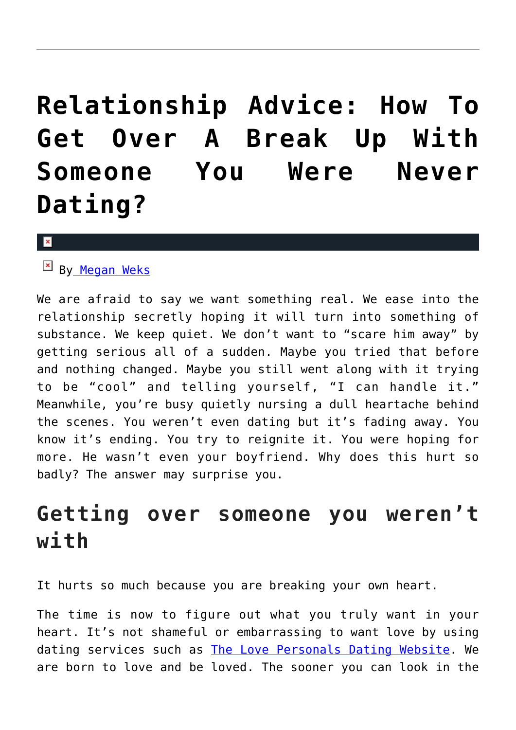## **[Relationship Advice: How To](https://cupidspulse.com/127654/relationship-advice/) [Get Over A Break Up With](https://cupidspulse.com/127654/relationship-advice/) [Someone You Were Never](https://cupidspulse.com/127654/relationship-advice/) [Dating?](https://cupidspulse.com/127654/relationship-advice/)**

#### $\vert \mathbf{x} \vert$

### $\frac{1}{2}$  B[y Megan Weks](http://cupidspulse.com/relationship-experts/megan-weks-articles/)

We are afraid to say we want something real. We ease into the relationship secretly hoping it will turn into something of substance. We keep quiet. We don't want to "scare him away" by getting serious all of a sudden. Maybe you tried that before and nothing changed. Maybe you still went along with it trying to be "cool" and telling yourself, "I can handle it." Meanwhile, you're busy quietly nursing a dull heartache behind the scenes. You weren't even dating but it's fading away. You know it's ending. You try to reignite it. You were hoping for more. He wasn't even your boyfriend. Why does this hurt so badly? The answer may surprise you.

### **Getting over someone you weren't with**

It hurts so much because you are breaking your own heart.

The time is now to figure out what you truly want in your heart. It's not shameful or embarrassing to want love by using dating services such as [The Love Personals Dating Website](http://www.thelovepersonals.com/). We are born to love and be loved. The sooner you can look in the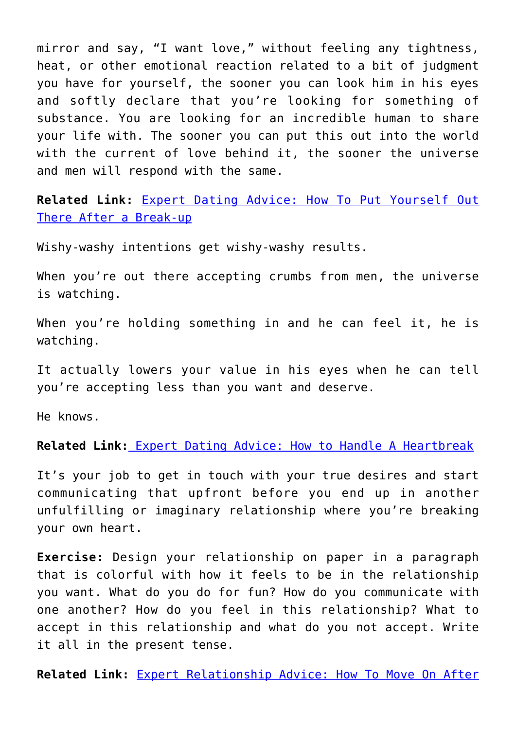mirror and say, "I want love," without feeling any tightness, heat, or other emotional reaction related to a bit of judgment you have for yourself, the sooner you can look him in his eyes and softly declare that you're looking for something of substance. You are looking for an incredible human to share your life with. The sooner you can put this out into the world with the current of love behind it, the sooner the universe and men will respond with the same.

**Related Link:** [Expert Dating Advice: How To Put Yourself Out](http://cupidspulse.com/126358/expert-dating-advice-how-put-yourself-out-there-after-break-up/) [There After a Break-up](http://cupidspulse.com/126358/expert-dating-advice-how-put-yourself-out-there-after-break-up/)

Wishy-washy intentions get wishy-washy results.

When you're out there accepting crumbs from men, the universe is watching.

When you're holding something in and he can feel it, he is watching.

It actually lowers your value in his eyes when he can tell you're accepting less than you want and deserve.

He knows.

**Related Link[:](http://cupidspulse.com/123523/expert-dating-advice-heartbreak-the-bachelor/)** [Expert Dating Advice: How to Handle A Heartbreak](http://cupidspulse.com/123523/expert-dating-advice-heartbreak-the-bachelor/)

It's your job to get in touch with your true desires and start communicating that upfront before you end up in another unfulfilling or imaginary relationship where you're breaking your own heart.

**Exercise:** Design your relationship on paper in a paragraph that is colorful with how it feels to be in the relationship you want. What do you do for fun? How do you communicate with one another? How do you feel in this relationship? What to accept in this relationship and what do you not accept. Write it all in the present tense.

**Related Link:** [Expert Relationship Advice: How To Move On After](http://cupidspulse.com/124119/expert-relationship-advice-move-on-after-being-ghosted/)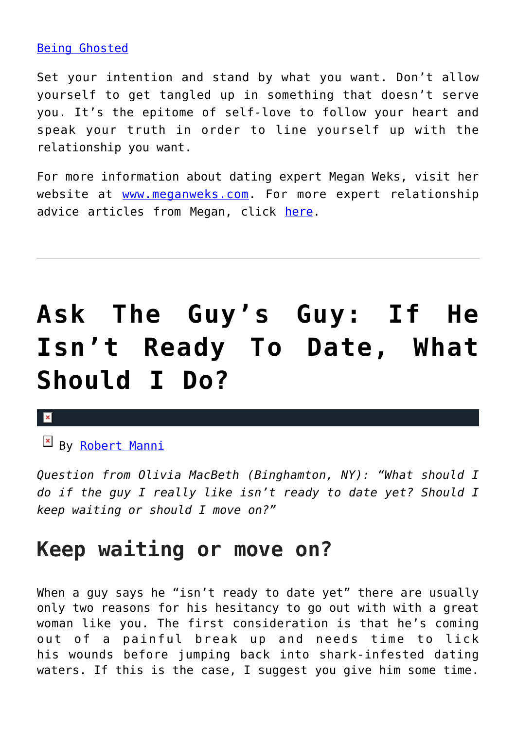### [Being Ghosted](http://cupidspulse.com/124119/expert-relationship-advice-move-on-after-being-ghosted/)

Set your intention and stand by what you want. Don't allow yourself to get tangled up in something that doesn't serve you. It's the epitome of self-love to follow your heart and speak your truth in order to line yourself up with the relationship you want.

For more information about dating expert Megan Weks, visit her website at [www.meganweks.com](http://themanfunnel.com/). For more expert relationship advice articles from Megan, click [here](http://cupidspulse.com/relationship-experts/megan-weks/).

# **[Ask The Guy's Guy: If He](https://cupidspulse.com/127613/guys-guy-date-not-ready/) [Isn't Ready To Date, What](https://cupidspulse.com/127613/guys-guy-date-not-ready/) [Should I Do?](https://cupidspulse.com/127613/guys-guy-date-not-ready/)**

### $\pmb{\times}$

By [Robert Manni](http://cupidspulse.com/relationship-experts/robertmanni/)

*Question from Olivia MacBeth (Binghamton, NY): "What should I do if the guy I really like isn't ready to date yet? Should I keep waiting or should I move on?"*

### **Keep waiting or move on?**

When a guy says he "isn't ready to date yet" there are usually only two reasons for his hesitancy to go out with with a great woman like you. The first consideration is that he's coming out of a painful break up and needs time to lick his wounds before jumping back into shark-infested dating waters. If this is the case, I suggest you give him some time.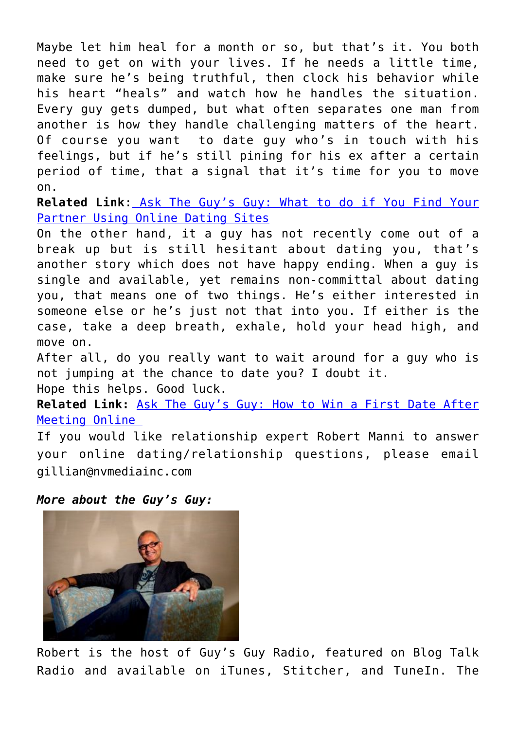Maybe let him heal for a month or so, but that's it. You both need to get on with your lives. If he needs a little time, make sure he's being truthful, then clock his behavior while his heart "heals" and watch how he handles the situation. Every guy gets dumped, but what often separates one man from another is how they handle challenging matters of the heart. Of course you want to date guy who's in touch with his feelings, but if he's still pining for his ex after a certain period of time, that a signal that it's time for you to move on.

**Related Link**[: Ask The Guy's Guy: What to do if You Find Your](http://cupidspulse.com/127111/guys-guy-what-find-your-partner-using-online-dating-sites/) [Partner Using Online Dating Sites](http://cupidspulse.com/127111/guys-guy-what-find-your-partner-using-online-dating-sites/)

On the other hand, it a guy has not recently come out of a break up but is still hesitant about dating you, that's another story which does not have happy ending. When a guy is single and available, yet remains non-committal about dating you, that means one of two things. He's either interested in someone else or he's just not that into you. If either is the case, take a deep breath, exhale, hold your head high, and move on.

After all, do you really want to wait around for a guy who is not jumping at the chance to date you? I doubt it. Hope this helps. Good luck.

**Related Link:** [Ask The Guy's Guy: How to Win a First Date After](http://cupidspulse.com/126629/ask-guy-win-first-date-after-meeting-online/) [Meeting Online](http://cupidspulse.com/126629/ask-guy-win-first-date-after-meeting-online/) 

If you would like relationship expert Robert Manni to answer your online dating/relationship questions, please email gillian@nvmediainc.com

*More about the Guy's Guy:* 



Robert is the host of Guy's Guy Radio, featured on Blog Talk Radio and available on iTunes, Stitcher, and TuneIn. The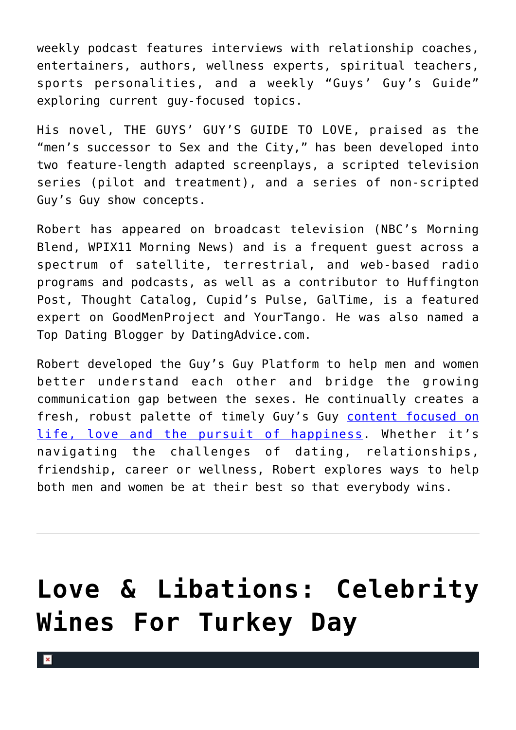weekly podcast features interviews with relationship coaches, entertainers, authors, wellness experts, spiritual teachers, sports personalities, and a weekly "Guys' Guy's Guide" exploring current guy-focused topics.

His novel, THE GUYS' GUY'S GUIDE TO LOVE, praised as the "men's successor to Sex and the City," has been developed into two feature-length adapted screenplays, a scripted television series (pilot and treatment), and a series of non-scripted Guy's Guy show concepts.

Robert has appeared on broadcast television (NBC's Morning Blend, WPIX11 Morning News) and is a frequent guest across a spectrum of satellite, terrestrial, and web-based radio programs and podcasts, as well as a contributor to Huffington Post, Thought Catalog, Cupid's Pulse, GalTime, is a featured expert on GoodMenProject and YourTango. He was also named a Top Dating Blogger by DatingAdvice.com.

Robert developed the Guy's Guy Platform to help men and women better understand each other and bridge the growing communication gap between the sexes. He continually creates a fresh, robust palette of timely Guy's Guy [content focused on](http://robertmanni.com/) [life, love and the pursuit of happiness](http://robertmanni.com/). Whether it's navigating the challenges of dating, relationships, friendship, career or wellness, Robert explores ways to help both men and women be at their best so that everybody wins.

## **[Love & Libations: Celebrity](https://cupidspulse.com/127449/love-libations-celebrity-wines-for-turkey-day/) [Wines For Turkey Day](https://cupidspulse.com/127449/love-libations-celebrity-wines-for-turkey-day/)**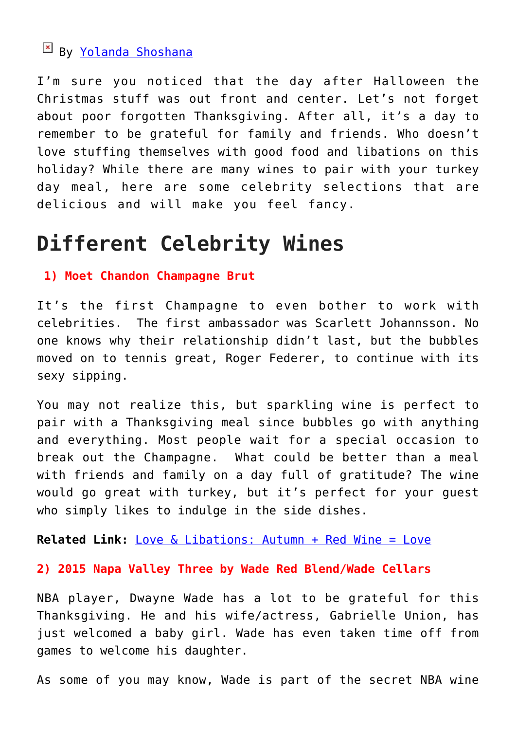### By [Yolanda Shoshana](http://cupidspulse.com/relationship-experts/yolanda-shoshana/)

I'm sure you noticed that the day after Halloween the Christmas stuff was out front and center. Let's not forget about poor forgotten Thanksgiving. After all, it's a day to remember to be grateful for family and friends. Who doesn't love stuffing themselves with good food and libations on this holiday? While there are many wines to pair with your turkey day meal, here are some celebrity selections that are delicious and will make you feel fancy.

### **Different Celebrity Wines**

### **1) Moet Chandon Champagne Brut**

It's the first Champagne to even bother to work with celebrities. The first ambassador was Scarlett Johannsson. No one knows why their relationship didn't last, but the bubbles moved on to tennis great, Roger Federer, to continue with its sexy sipping.

You may not realize this, but sparkling wine is perfect to pair with a Thanksgiving meal since bubbles go with anything and everything. Most people wait for a special occasion to break out the Champagne. What could be better than a meal with friends and family on a day full of gratitude? The wine would go great with turkey, but it's perfect for your guest who simply likes to indulge in the side dishes.

**Related Link:** [Love & Libations: Autumn + Red Wine = Love](http://cupidspulse.com/126761/love-libations-autumn-red-wine-love/)

**2) 2015 Napa Valley Three by Wade Red Blend/Wade Cellars**

NBA player, Dwayne Wade has a lot to be grateful for this Thanksgiving. He and his wife/actress, Gabrielle Union, has just welcomed a baby girl. Wade has even taken time off from games to welcome his daughter.

As some of you may know, Wade is part of the secret NBA wine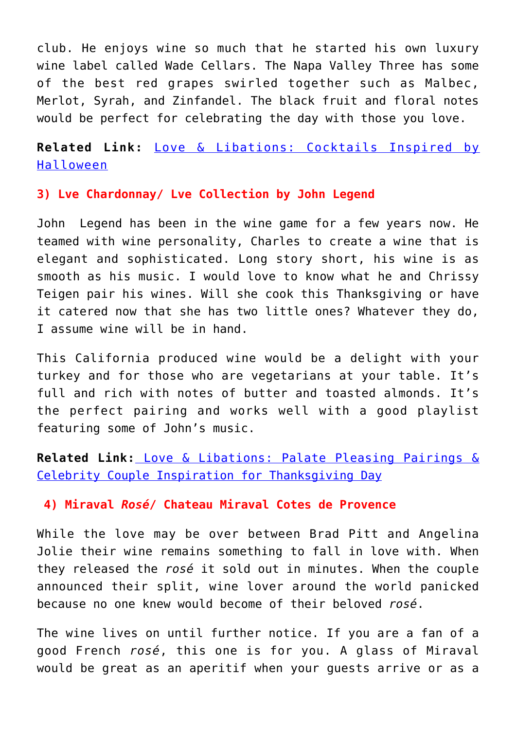club. He enjoys wine so much that he started his own luxury wine label called Wade Cellars. The Napa Valley Three has some of the best red grapes swirled together such as Malbec, Merlot, Syrah, and Zinfandel. The black fruit and floral notes would be perfect for celebrating the day with those you love.

**Related Link:** [Love & Libations: Cocktails Inspired by](http://cupidspulse.com/127092/love-libations-cocktails-inspired-halloween/) [Halloween](http://cupidspulse.com/127092/love-libations-cocktails-inspired-halloween/)

### **3) Lve Chardonnay/ Lve Collection by John Legend**

John Legend has been in the wine game for a few years now. He teamed with wine personality, Charles to create a wine that is elegant and sophisticated. Long story short, his wine is as smooth as his music. I would love to know what he and Chrissy Teigen pair his wines. Will she cook this Thanksgiving or have it catered now that she has two little ones? Whatever they do, I assume wine will be in hand.

This California produced wine would be a delight with your turkey and for those who are vegetarians at your table. It's full and rich with notes of butter and toasted almonds. It's the perfect pairing and works well with a good playlist featuring some of John's music.

**Related Link:** [Love & Libations: Palate Pleasing Pairings &](http://cupidspulse.com/121605/palate-pleasing-pairings-celebrity-couple-inspiration-for-thanksgiving-day/) [Celebrity Couple Inspiration for Thanksgiving Day](http://cupidspulse.com/121605/palate-pleasing-pairings-celebrity-couple-inspiration-for-thanksgiving-day/)

### **4) Miraval** *Rosé***/ Chateau Miraval Cotes de Provence**

While the love may be over between Brad Pitt and Angelina Jolie their wine remains something to fall in love with. When they released the *rosé* it sold out in minutes. When the couple announced their split, wine lover around the world panicked because no one knew would become of their beloved *rosé*.

The wine lives on until further notice. If you are a fan of a good French *rosé*, this one is for you. A glass of Miraval would be great as an aperitif when your guests arrive or as a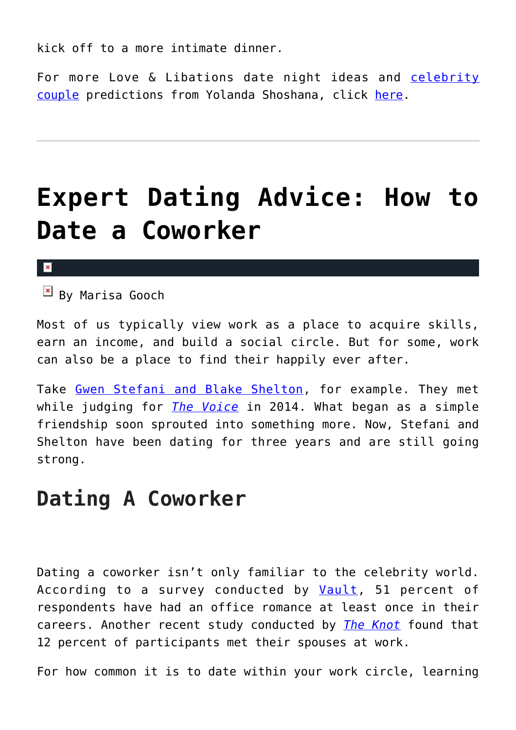kick off to a more intimate dinner.

For more Love & Libations date night ideas and [celebrity](http://cupidspulse.com/celebrity-news/celebrity-dating/) [couple](http://cupidspulse.com/celebrity-news/celebrity-dating/) predictions from Yolanda Shoshana, click [here](http://cupidspulse.com/relationship-experts/yolanda-shoshana/).

## **[Expert Dating Advice: How to](https://cupidspulse.com/127418/expert-dating-advice-how-date-coworker/) [Date a Coworker](https://cupidspulse.com/127418/expert-dating-advice-how-date-coworker/)**

### $\mathbf{x}$

 $\overline{P}$  By Marisa Gooch

Most of us typically view work as a place to acquire skills, earn an income, and build a social circle. But for some, work can also be a place to find their happily ever after.

Take [Gwen Stefani and Blake Shelton](https://www.bustle.com/articles/162119-when-did-blake-shelton-gwen-stefani-start-dating-they-havent-been-together-as-long-as), for example. They met while judging for *[The Voice](https://www.nbc.com/the-voice)* in 2014. What began as a simple friendship soon sprouted into something more. Now, Stefani and Shelton have been dating for three years and are still going strong.

### **Dating A Coworker**

Dating a coworker isn't only familiar to the celebrity world. According to a survey conducted by [Vault](http://www.vault.com/blog/workplace-issues/2015-office-romance-survey-results/), 51 percent of respondents have had an office romance at least once in their careers. Another recent study conducted by *[The Knot](https://www.theknot.com/content/online-dating-most-popular-way-to-meet-spouse)* found that 12 percent of participants met their spouses at work.

For how common it is to date within your work circle, learning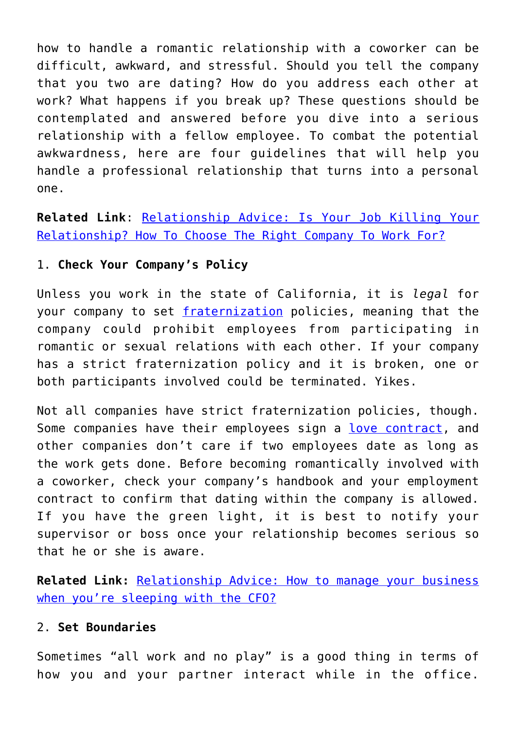how to handle a romantic relationship with a coworker can be difficult, awkward, and stressful. Should you tell the company that you two are dating? How do you address each other at work? What happens if you break up? These questions should be contemplated and answered before you dive into a serious relationship with a fellow employee. To combat the potential awkwardness, here are four guidelines that will help you handle a professional relationship that turns into a personal one.

**Related Link**: [Relationship Advice: Is Your Job Killing Your](http://cupidspulse.com/120046/relationship-advice-job-killing-your-relationship/) [Relationship? How To Choose The Right Company To Work For?](http://cupidspulse.com/120046/relationship-advice-job-killing-your-relationship/)

### 1. **Check Your Company's Policy**

Unless you work in the state of California, it is *legal* for your company to set [fraternization](https://work.chron.com/can-fired-fraternization-22623.html) policies, meaning that the company could prohibit employees from participating in romantic or sexual relations with each other. If your company has a strict fraternization policy and it is broken, one or both participants involved could be terminated. Yikes.

Not all companies have strict fraternization policies, though. Some companies have their employees sign a [love contract,](https://www.thebalancecareers.com/the-scoop-on-love-contracts-1918179) and other companies don't care if two employees date as long as the work gets done. Before becoming romantically involved with a coworker, check your company's handbook and your employment contract to confirm that dating within the company is allowed. If you have the green light, it is best to notify your supervisor or boss once your relationship becomes serious so that he or she is aware.

**Related Link:** [Relationship Advice: How to manage your business](http://cupidspulse.com/114785/relationship-advice-business-sleeping-with-cfo/) [when you're sleeping with the CFO?](http://cupidspulse.com/114785/relationship-advice-business-sleeping-with-cfo/)

### 2. **Set Boundaries**

Sometimes "all work and no play" is a good thing in terms of how you and your partner interact while in the office.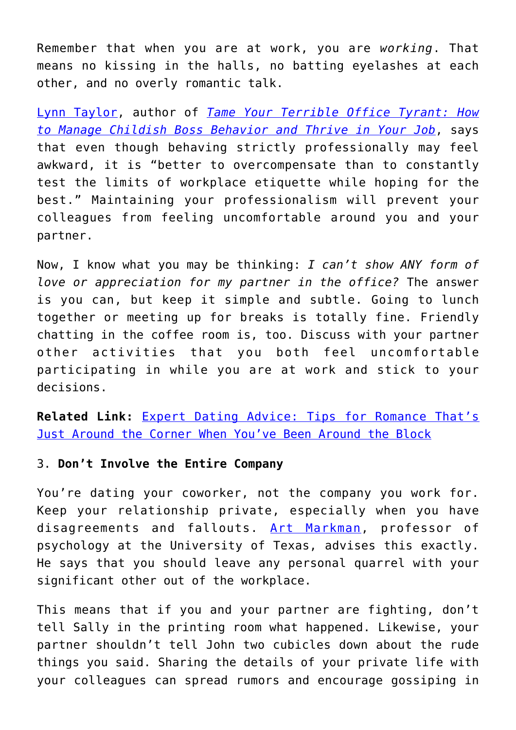Remember that when you are at work, you are *working*. That means no kissing in the halls, no batting eyelashes at each other, and no overly romantic talk.

[Lynn Taylor,](https://www.businessinsider.com/rules-of-dating-a-coworker-2015-8) author of *[Tame Your Terrible Office Tyrant: How](https://www.amazon.com/Tame-Your-Terrible-Office-Tyrant-ebook/dp/B002JMV6E6) [to Manage Childish Boss Behavior and Thrive in Your Job](https://www.amazon.com/Tame-Your-Terrible-Office-Tyrant-ebook/dp/B002JMV6E6)*, says that even though behaving strictly professionally may feel awkward, it is "better to overcompensate than to constantly test the limits of workplace etiquette while hoping for the best." Maintaining your professionalism will prevent your colleagues from feeling uncomfortable around you and your partner.

Now, I know what you may be thinking: *I can't show ANY form of love or appreciation for my partner in the office?* The answer is you can, but keep it simple and subtle. Going to lunch together or meeting up for breaks is totally fine. Friendly chatting in the coffee room is, too. Discuss with your partner other activities that you both feel uncomfortable participating in while you are at work and stick to your decisions.

**Related Link:** [Expert Dating Advice: Tips for Romance That's](http://cupidspulse.com/123115/expert-dating-advice-for-older-adults/) [Just Around the Corner When You've Been Around the Block](http://cupidspulse.com/123115/expert-dating-advice-for-older-adults/)

### 3. **Don't Involve the Entire Company**

You're dating your coworker, not the company you work for. Keep your relationship private, especially when you have disagreements and fallouts. [Art Markman,](https://www.fastcompany.com/3039389/ask-the-experts-help-im-dating-a-coworker) professor of psychology at the University of Texas, advises this exactly. He says that you should leave any personal quarrel with your significant other out of the workplace.

This means that if you and your partner are fighting, don't tell Sally in the printing room what happened. Likewise, your partner shouldn't tell John two cubicles down about the rude things you said. Sharing the details of your private life with your colleagues can spread rumors and encourage gossiping in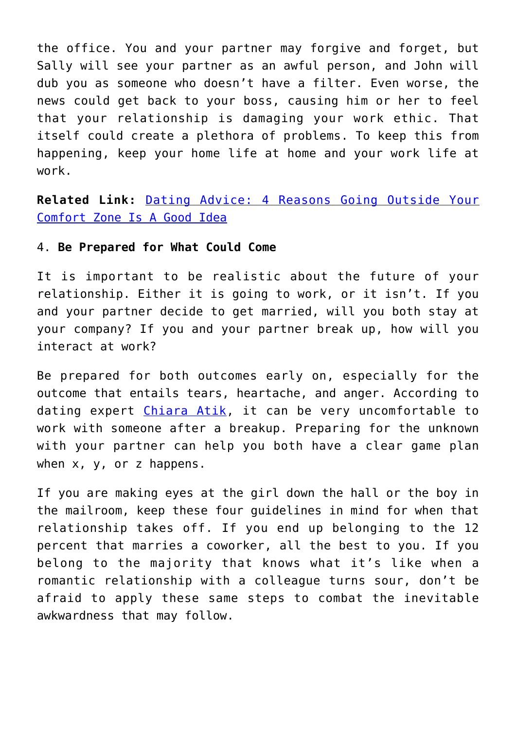the office. You and your partner may forgive and forget, but Sally will see your partner as an awful person, and John will dub you as someone who doesn't have a filter. Even worse, the news could get back to your boss, causing him or her to feel that your relationship is damaging your work ethic. That itself could create a plethora of problems. To keep this from happening, keep your home life at home and your work life at work.

**Related Link:** [Dating Advice: 4 Reasons Going Outside Your](http://cupidspulse.com/115552/dating-advice-outside-comfort-zone-good/) [Comfort Zone Is A Good Idea](http://cupidspulse.com/115552/dating-advice-outside-comfort-zone-good/)

#### 4. **Be Prepared for What Could Come**

It is important to be realistic about the future of your relationship. Either it is going to work, or it isn't. If you and your partner decide to get married, will you both stay at your company? If you and your partner break up, how will you interact at work?

Be prepared for both outcomes early on, especially for the outcome that entails tears, heartache, and anger. According to dating expert [Chiara Atik,](https://www.forbes.com/sites/jacquelynsmith/2013/07/17/how-to-work-with-someone-after-a-breakup/#f7196e86fbac) it can be very uncomfortable to work with someone after a breakup. Preparing for the unknown with your partner can help you both have a clear game plan when x, y, or z happens.

If you are making eyes at the girl down the hall or the boy in the mailroom, keep these four guidelines in mind for when that relationship takes off. If you end up belonging to the 12 percent that marries a coworker, all the best to you. If you belong to the majority that knows what it's like when a romantic relationship with a colleague turns sour, don't be afraid to apply these same steps to combat the inevitable awkwardness that may follow.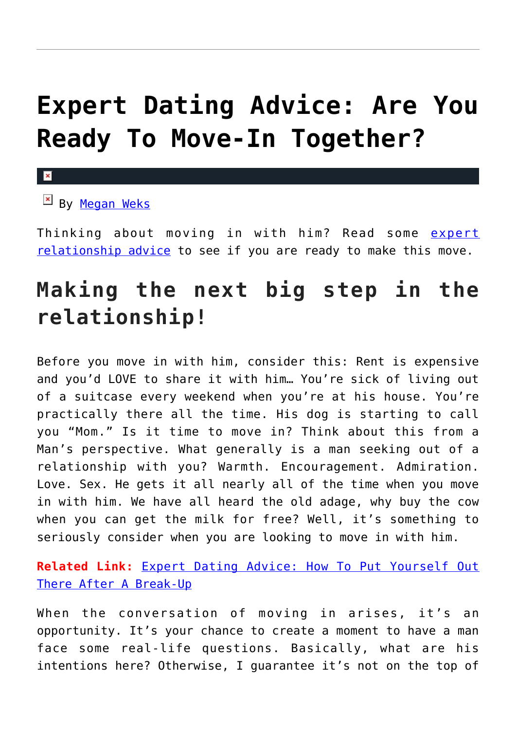## **[Expert Dating Advice: Are You](https://cupidspulse.com/127215/expert-dating-advice-ready-move-together/) [Ready To Move-In Together?](https://cupidspulse.com/127215/expert-dating-advice-ready-move-together/)**

 $\mathbf{x}$ 

 $\mathbb{E}$  By [Megan Weks](http://cupidspulse.com/relationship-experts/megan-weks/)

Thinking about moving in with him? Read some [expert](http://cupidspulse.com/relationship-experts/) [relationship advice](http://cupidspulse.com/relationship-experts/) to see if you are ready to make this move.

### **Making the next big step in the relationship!**

Before you move in with him, consider this: Rent is expensive and you'd LOVE to share it with him… You're sick of living out of a suitcase every weekend when you're at his house. You're practically there all the time. His dog is starting to call you "Mom." Is it time to move in? Think about this from a Man's perspective. What generally is a man seeking out of a relationship with you? Warmth. Encouragement. Admiration. Love. Sex. He gets it all nearly all of the time when you move in with him. We have all heard the old adage, why buy the cow when you can get the milk for free? Well, it's something to seriously consider when you are looking to move in with him.

**Related Link:** [Expert Dating Advice: How To Put Yourself Out](http://cupidspulse.com/126358/expert-dating-advice-how-put-yourself-out-there-after-break-up/) [There After A Break-Up](http://cupidspulse.com/126358/expert-dating-advice-how-put-yourself-out-there-after-break-up/)

When the conversation of moving in arises, it's an opportunity. It's your chance to create a moment to have a man face some real-life questions. Basically, what are his intentions here? Otherwise, I guarantee it's not on the top of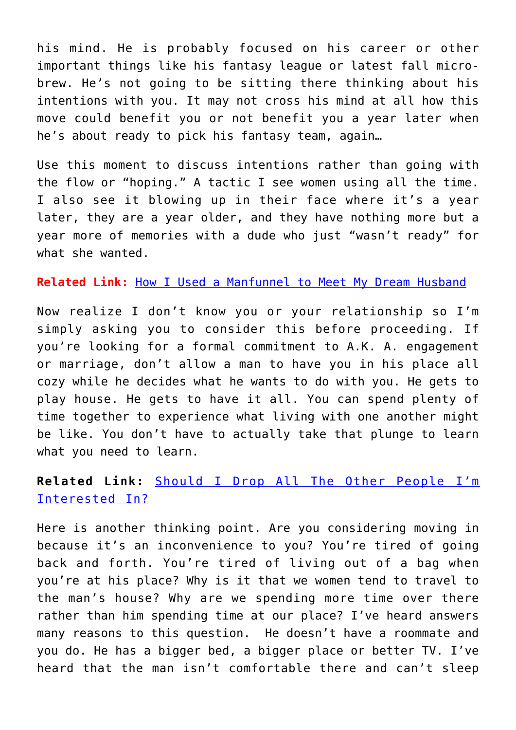his mind. He is probably focused on his career or other important things like his fantasy league or latest fall microbrew. He's not going to be sitting there thinking about his intentions with you. It may not cross his mind at all how this move could benefit you or not benefit you a year later when he's about ready to pick his fantasy team, again…

Use this moment to discuss intentions rather than going with the flow or "hoping." A tactic I see women using all the time. I also see it blowing up in their face where it's a year later, they are a year older, and they have nothing more but a year more of memories with a dude who just "wasn't ready" for what she wanted.

**Related Link:** [How I Used a Manfunnel to Meet My Dream Husband](http://cupidspulse.com/120613/expert-relationship-advice-megan-weks-manfunnel/)

Now realize I don't know you or your relationship so I'm simply asking you to consider this before proceeding. If you're looking for a formal commitment to A.K. A. engagement or marriage, don't allow a man to have you in his place all cozy while he decides what he wants to do with you. He gets to play house. He gets to have it all. You can spend plenty of time together to experience what living with one another might be like. You don't have to actually take that plunge to learn what you need to learn.

### **Related Link:** [Should I Drop All The Other People I'm](http://cupidspulse.com/118570/dating-advice-drop-other-people-interested/) [Interested In?](http://cupidspulse.com/118570/dating-advice-drop-other-people-interested/)

Here is another thinking point. Are you considering moving in because it's an inconvenience to you? You're tired of going back and forth. You're tired of living out of a bag when you're at his place? Why is it that we women tend to travel to the man's house? Why are we spending more time over there rather than him spending time at our place? I've heard answers many reasons to this question. He doesn't have a roommate and you do. He has a bigger bed, a bigger place or better TV. I've heard that the man isn't comfortable there and can't sleep